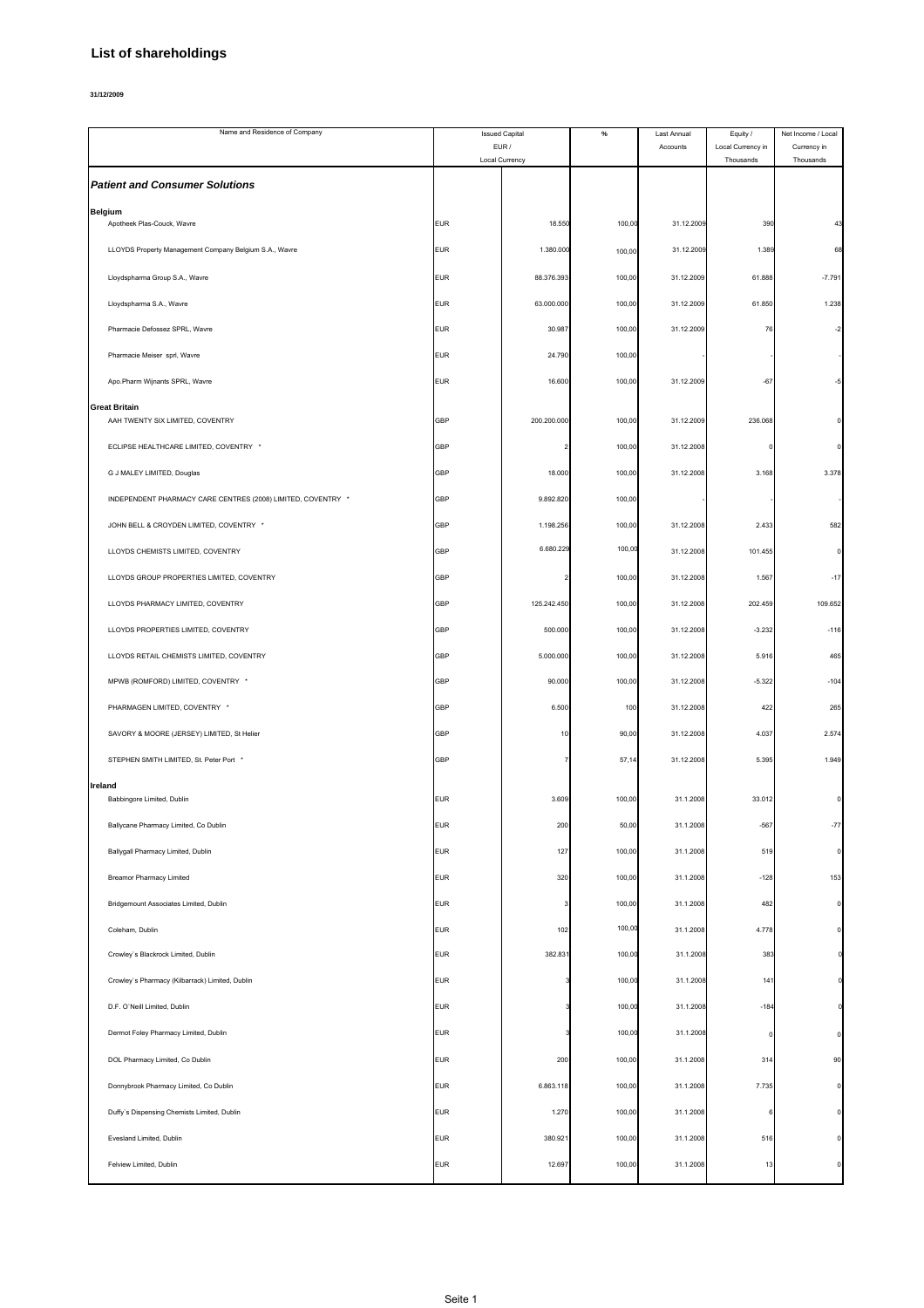## **List of shareholdings**

**31/12/2009**

| Name and Residence of Company                                |            | <b>Issued Capital</b>   | $\%$   | Last Annual | Equity /                       | Net Income / Local       |
|--------------------------------------------------------------|------------|-------------------------|--------|-------------|--------------------------------|--------------------------|
|                                                              |            | EUR /<br>Local Currency |        | Accounts    | Local Currency in<br>Thousands | Currency in<br>Thousands |
| <b>Patient and Consumer Solutions</b>                        |            |                         |        |             |                                |                          |
| <b>Belgium</b><br>Apotheek Plas-Couck, Wavre                 | <b>EUR</b> | 18.550                  | 100,00 | 31.12.2009  | 390                            |                          |
| LLOYDS Property Management Company Belgium S.A., Wavre       | <b>EUR</b> | 1.380.000               | 100,00 | 31.12.2009  | 1.389                          | 68                       |
| Lloydspharma Group S.A., Wavre                               | <b>EUR</b> | 88.376.393              | 100,00 | 31.12.2009  | 61.888                         | $-7.79'$                 |
| Lloydspharma S.A., Wavre                                     | EUR        | 63.000.000              | 100,00 | 31.12.2009  | 61.850                         | 1.238                    |
| Pharmacie Defossez SPRL, Wavre                               | EUR        | 30.987                  | 100,00 | 31.12.2009  | 76                             |                          |
| Pharmacie Meiser sprl, Wavre                                 | <b>EUR</b> | 24.790                  | 100,00 |             |                                |                          |
| Apo.Pharm Wijnants SPRL, Wavre                               | <b>EUR</b> | 16.600                  | 100,00 | 31.12.2009  | $-67$                          | -5                       |
| <b>Great Britain</b><br>AAH TWENTY SIX LIMITED, COVENTRY     | GBP        | 200.200.000             | 100,00 | 31.12.2009  | 236.068                        |                          |
| ECLIPSE HEALTHCARE LIMITED, COVENTRY *                       | GBP        |                         | 100,00 | 31.12.2008  |                                |                          |
| G J MALEY LIMITED, Douglas                                   | GBP        | 18.000                  | 100,00 | 31.12.2008  | 3.168                          | 3.378                    |
| INDEPENDENT PHARMACY CARE CENTRES (2008) LIMITED, COVENTRY * | GBP        | 9.892.820               | 100,00 |             |                                |                          |
| JOHN BELL & CROYDEN LIMITED, COVENTRY *                      | GBP        | 1.198.256               | 100,00 | 31.12.2008  | 2.433                          | 582                      |
| LLOYDS CHEMISTS LIMITED, COVENTRY                            | GBP        | 6.680.229               | 100,00 | 31.12.2008  | 101.455                        |                          |
| LLOYDS GROUP PROPERTIES LIMITED, COVENTRY                    | GBP        |                         | 100,00 | 31.12.2008  | 1.567                          | $-17$                    |
| LLOYDS PHARMACY LIMITED, COVENTRY                            | GBP        | 125.242.450             | 100,00 | 31.12.2008  | 202.459                        | 109.652                  |
| LLOYDS PROPERTIES LIMITED, COVENTRY                          | GBP        | 500.000                 | 100,00 | 31.12.2008  | $-3.232$                       | $-116$                   |
| LLOYDS RETAIL CHEMISTS LIMITED, COVENTRY                     | GBP        | 5.000.000               | 100,00 | 31.12.2008  | 5.916                          | 465                      |
| MPWB (ROMFORD) LIMITED, COVENTRY *                           | GBP        | 90.000                  | 100,00 | 31.12.2008  | $-5.322$                       | $-104$                   |
| PHARMAGEN LIMITED, COVENTRY *                                | GBP        | 6.500                   | 100    | 31.12.2008  | 422                            | 265                      |
| SAVORY & MOORE (JERSEY) LIMITED, St Helier                   | GBP        | 10                      | 90,00  | 31.12.2008  | 4.037                          | 2.574                    |
| STEPHEN SMITH LIMITED, St. Peter Port *                      | GBP        |                         | 57,14  | 31.12.2008  | 5.395                          | 1.949                    |
| Ireland<br>Babbingore Limited, Dublin                        | <b>EUR</b> | 3.609                   | 100,00 | 31.1.2008   | 33.012                         |                          |
| Ballycane Pharmacy Limited, Co Dublin                        | EUR        | 200                     | 50,00  | 31.1.2008   | $-567$                         | $-77$                    |
| Ballygall Pharmacy Limited, Dublin                           | <b>EUR</b> | 127                     | 100,00 | 31.1.2008   | 519                            | $\mathbf 0$              |
| <b>Breamor Pharmacy Limited</b>                              | <b>EUR</b> | 320                     | 100,00 | 31.1.2008   | $-128$                         | 153                      |
| Bridgemount Associates Limited, Dublin                       | EUR        | 3                       | 100,00 | 31.1.2008   | 482                            | $\Omega$                 |
| Coleham, Dublin                                              | <b>EUR</b> | 102                     | 100,00 | 31.1.2008   | 4.778                          |                          |
| Crowley's Blackrock Limited, Dublin                          | <b>EUR</b> | 382.831                 | 100,00 | 31.1.2008   | 383                            |                          |
| Crowley's Pharmacy (Kilbarrack) Limited, Dublin              | <b>EUR</b> |                         | 100,00 | 31.1.2008   | 141                            |                          |
| D.F. O'Neill Limited, Dublin                                 | EUR        |                         | 100,00 | 31.1.2008   | $-184$                         |                          |
| Dermot Foley Pharmacy Limited, Dublin                        | <b>EUR</b> |                         | 100,00 | 31.1.2008   |                                |                          |
| DOL Pharmacy Limited, Co Dublin                              | <b>EUR</b> | 200                     | 100,00 | 31.1.2008   | 314                            | 90                       |
| Donnybrook Pharmacy Limited, Co Dublin                       | EUR        | 6.863.118               | 100,00 | 31.1.2008   | 7.735                          | $\Omega$                 |
| Duffy's Dispensing Chemists Limited, Dublin                  | <b>EUR</b> | 1.270                   | 100,00 | 31.1.2008   |                                |                          |
| Evesland Limited, Dublin                                     | <b>EUR</b> | 380.921                 | 100,00 | 31.1.2008   | 516                            |                          |
| Felview Limited, Dublin                                      | <b>EUR</b> | 12.697                  | 100,00 | 31.1.2008   | 13                             |                          |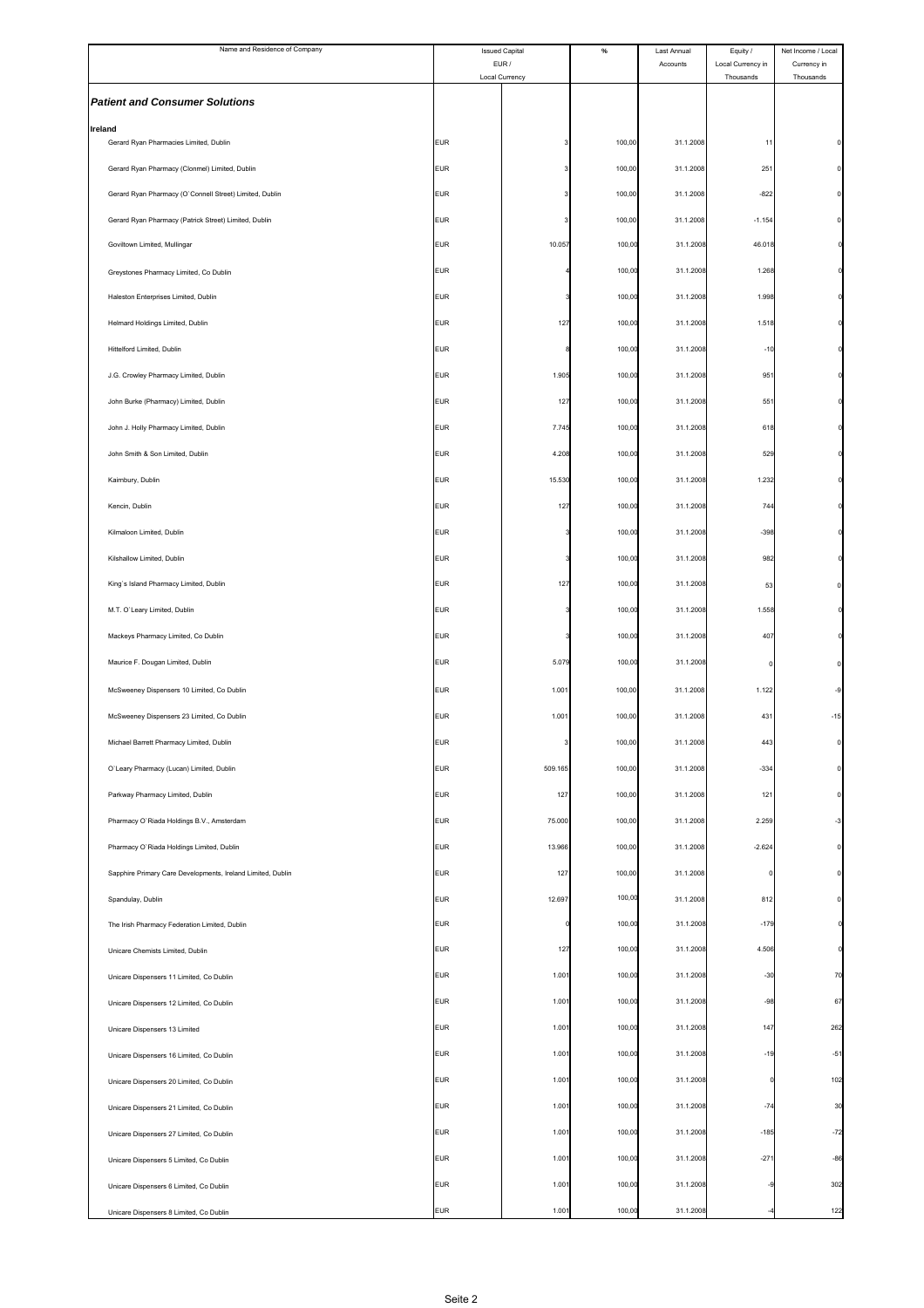| Name and Residence of Company                               | <b>Issued Capital</b><br>EUR/ |                | $\%$   | Last Annual | Equity /                       | Net Income / Local       |
|-------------------------------------------------------------|-------------------------------|----------------|--------|-------------|--------------------------------|--------------------------|
|                                                             |                               | Local Currency |        | Accounts    | Local Currency in<br>Thousands | Currency in<br>Thousands |
| <b>Patient and Consumer Solutions</b>                       |                               |                |        |             |                                |                          |
| <b>Ireland</b>                                              |                               |                |        |             |                                |                          |
| Gerard Ryan Pharmacies Limited, Dublin                      | <b>EUR</b>                    |                | 100,00 | 31.1.2008   | 11                             |                          |
| Gerard Ryan Pharmacy (Clonmel) Limited, Dublin              | <b>EUR</b>                    |                | 100,00 | 31.1.2008   | 251                            |                          |
| Gerard Ryan Pharmacy (O'Connell Street) Limited, Dublin     | <b>EUR</b>                    |                | 100,00 | 31.1.2008   | $-822$                         |                          |
| Gerard Ryan Pharmacy (Patrick Street) Limited, Dublin       | <b>EUR</b>                    |                | 100,00 | 31.1.2008   | $-1.154$                       |                          |
| Goviltown Limited, Mullingar                                | <b>EUR</b>                    | 10.057         | 100,00 | 31.1.2008   | 46.018                         |                          |
| Greystones Pharmacy Limited, Co Dublin                      | <b>EUR</b>                    |                | 100,00 | 31.1.2008   | 1.268                          |                          |
| Haleston Enterprises Limited, Dublin                        | <b>EUR</b>                    |                | 100,00 | 31.1.2008   | 1.998                          |                          |
| Helmard Holdings Limited, Dublin                            | <b>EUR</b>                    | 127            | 100,00 | 31.1.2008   | 1.518                          |                          |
| Hittelford Limited, Dublin                                  | <b>EUR</b>                    |                | 100,00 | 31.1.2008   | $-10$                          |                          |
| J.G. Crowley Pharmacy Limited, Dublin                       | <b>EUR</b>                    | 1.905          | 100,00 | 31.1.2008   | 951                            |                          |
| John Burke (Pharmacy) Limited, Dublin                       | <b>EUR</b>                    | 127            | 100,00 | 31.1.2008   | 551                            |                          |
| John J. Holly Pharmacy Limited, Dublin                      | <b>EUR</b>                    | 7.745          | 100,00 | 31.1.2008   | 618                            |                          |
| John Smith & Son Limited, Dublin                            | <b>EUR</b>                    | 4.208          | 100,00 | 31.1.2008   | 529                            |                          |
| Kairnbury, Dublin                                           | <b>EUR</b>                    | 15.530         | 100,00 | 31.1.2008   | 1.232                          |                          |
| Kencin, Dublin                                              | <b>EUR</b>                    | 127            | 100,00 | 31.1.2008   | 744                            |                          |
| Kilmaloon Limited, Dublin                                   | <b>EUR</b>                    |                | 100,00 | 31.1.2008   | $-398$                         |                          |
| Kilshallow Limited, Dublin                                  | <b>EUR</b>                    |                | 100,00 | 31.1.2008   | 982                            |                          |
| King's Island Pharmacy Limited, Dublin                      | <b>EUR</b>                    | 127            | 100,00 | 31.1.2008   | 53                             |                          |
| M.T. O'Leary Limited, Dublin                                | <b>EUR</b>                    |                | 100,00 | 31.1.2008   | 1.558                          |                          |
| Mackeys Pharmacy Limited, Co Dublin                         | <b>EUR</b>                    |                | 100,00 | 31.1.2008   | 407                            |                          |
| Maurice F. Dougan Limited, Dublin                           | <b>EUR</b>                    | 5.079          | 100,00 | 31.1.2008   |                                |                          |
| McSweeney Dispensers 10 Limited, Co Dublin                  | <b>EUR</b>                    | 1.001          | 100,00 | 31.1.2008   | 1.122                          | -9                       |
| McSweeney Dispensers 23 Limited, Co Dublin                  | <b>EUR</b>                    | 1.001          | 100,00 | 31.1.2008   | 431                            | $-15$                    |
| Michael Barrett Pharmacy Limited, Dublin                    | <b>EUR</b>                    |                | 100,00 | 31.1.2008   | 443                            |                          |
| O'Leary Pharmacy (Lucan) Limited, Dublin                    | <b>EUR</b>                    | 509.165        | 100,00 | 31.1.2008   | $-334$                         | 0                        |
| Parkway Pharmacy Limited, Dublin                            | <b>EUR</b>                    | 127            | 100,00 | 31.1.2008   | 121                            | 0                        |
| Pharmacy O'Riada Holdings B.V., Amsterdam                   | <b>EUR</b>                    | 75.000         | 100,00 | 31.1.2008   | 2.259                          | -3                       |
| Pharmacy O'Riada Holdings Limited, Dublin                   | <b>EUR</b>                    | 13.966         | 100,00 | 31.1.2008   | $-2.624$                       | 0                        |
| Sapphire Primary Care Developments, Ireland Limited, Dublin | <b>EUR</b>                    | 127            | 100,00 | 31.1.2008   | O                              |                          |
| Spandulay, Dublin                                           | <b>EUR</b>                    | 12.697         | 100,00 | 31.1.2008   | 812                            |                          |
| The Irish Pharmacy Federation Limited, Dublin               | <b>EUR</b>                    |                | 100,00 | 31.1.2008   | $-179$                         |                          |
| Unicare Chemists Limited, Dublin                            | <b>EUR</b>                    | 127            | 100,00 | 31.1.2008   | 4.506                          |                          |
| Unicare Dispensers 11 Limited, Co Dublin                    | <b>EUR</b>                    | 1.001          | 100,00 | 31.1.2008   | $-30$                          | 70                       |
| Unicare Dispensers 12 Limited, Co Dublin                    | <b>EUR</b>                    | 1.001          | 100,00 | 31.1.2008   | $-98$                          | 67                       |
| Unicare Dispensers 13 Limited                               | <b>EUR</b>                    | 1.001          | 100,00 | 31.1.2008   | 147                            | 262                      |
| Unicare Dispensers 16 Limited, Co Dublin                    | <b>EUR</b>                    | 1.001          | 100,00 | 31.1.2008   | $-19$                          | $-51$                    |
| Unicare Dispensers 20 Limited, Co Dublin                    | <b>EUR</b>                    | 1.001          | 100,00 | 31.1.2008   |                                | 102                      |
| Unicare Dispensers 21 Limited, Co Dublin                    | <b>EUR</b>                    | 1.001          | 100,00 | 31.1.2008   | $-74$                          | 30                       |
| Unicare Dispensers 27 Limited, Co Dublin                    | <b>EUR</b>                    | 1.001          | 100,00 | 31.1.2008   | $-185$                         | $-72$                    |
| Unicare Dispensers 5 Limited, Co Dublin                     | <b>EUR</b>                    | 1.001          | 100,00 | 31.1.2008   | $-271$                         | $-86$                    |
| Unicare Dispensers 6 Limited, Co Dublin                     | <b>EUR</b>                    | 1.001          | 100,00 | 31.1.2008   |                                | 302                      |
| Unicare Dispensers 8 Limited, Co Dublin                     | EUR                           | 1.001          | 100,00 | 31.1.2008   |                                | 122                      |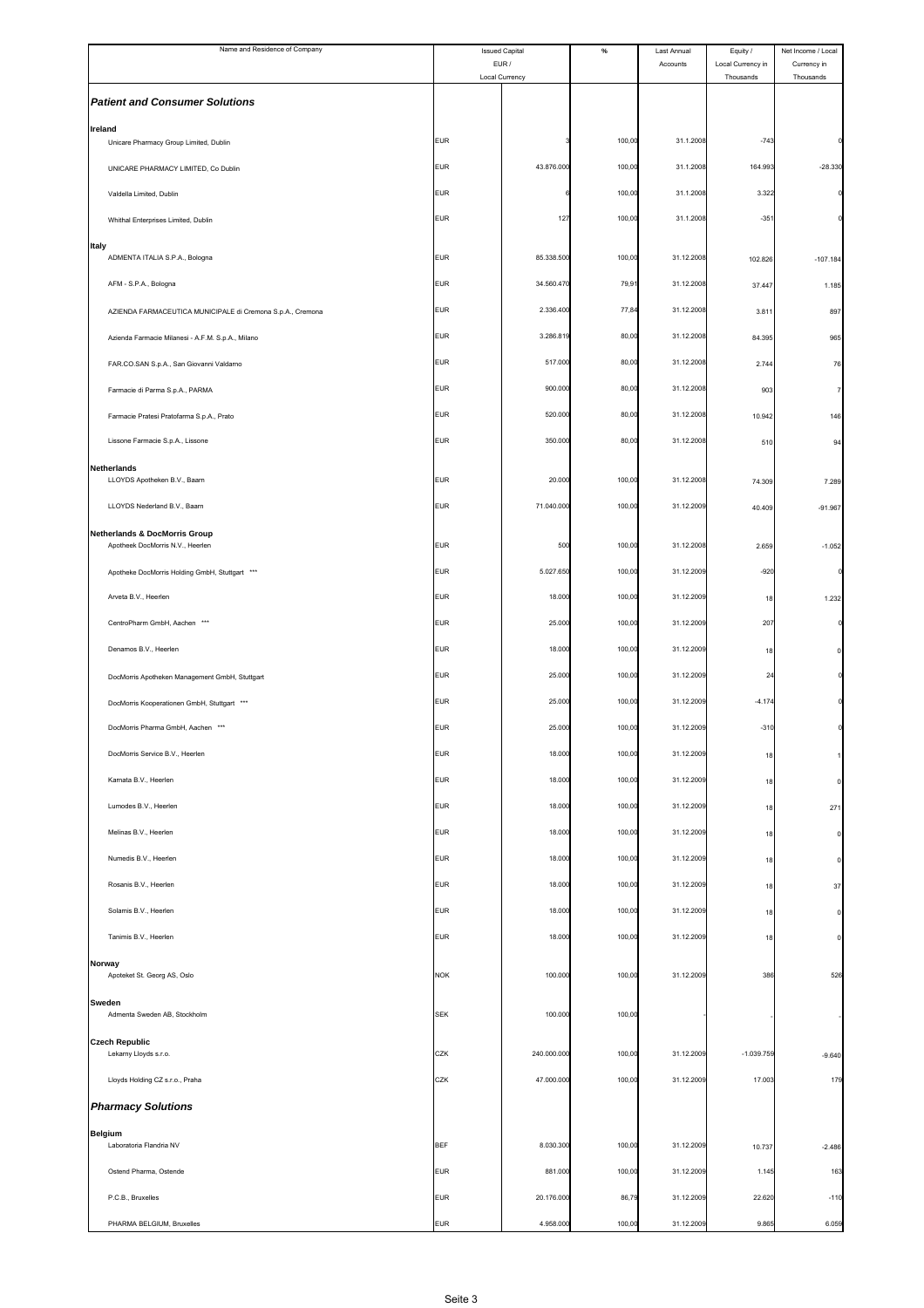| Name and Residence of Company                              |            | <b>Issued Capital</b><br>EUR/ | $\%$   | Last Annual<br>Accounts | Equity /<br>Local Currency in | Net Income / Local<br>Currency in |
|------------------------------------------------------------|------------|-------------------------------|--------|-------------------------|-------------------------------|-----------------------------------|
|                                                            |            | Local Currency                |        |                         | Thousands                     | Thousands                         |
| <b>Patient and Consumer Solutions</b>                      |            |                               |        |                         |                               |                                   |
| Ireland<br>Unicare Pharmacy Group Limited, Dublin          | <b>EUR</b> |                               | 100,00 | 31.1.2008               | $-743$                        |                                   |
| UNICARE PHARMACY LIMITED, Co Dublin                        | <b>EUR</b> | 43.876.000                    | 100,00 | 31.1.2008               | 164.993                       | $-28.330$                         |
| Valdella Limited, Dublin                                   | <b>EUR</b> |                               | 100,00 | 31.1.2008               | 3.322                         |                                   |
| Whithal Enterprises Limited, Dublin                        | <b>EUR</b> | 127                           | 100,00 | 31.1.2008               | $-35'$                        |                                   |
| <b>Italy</b>                                               |            |                               |        |                         |                               |                                   |
| ADMENTA ITALIA S.P.A., Bologna                             | <b>EUR</b> | 85.338.500                    | 100,00 | 31.12.2008              | 102.826                       | $-107.184$                        |
| AFM - S.P.A., Bologna                                      | <b>EUR</b> | 34.560.470                    | 79,91  | 31.12.2008              | 37.447                        | 1.185                             |
| AZIENDA FARMACEUTICA MUNICIPALE di Cremona S.p.A., Cremona | <b>EUR</b> | 2.336.400                     | 77,84  | 31.12.2008              | 3.811                         | 897                               |
| Azienda Farmacie Milanesi - A.F.M. S.p.A., Milano          | <b>EUR</b> | 3.286.819                     | 80,00  | 31.12.2008              | 84.395                        | 965                               |
| FAR.CO.SAN S.p.A., San Giovanni Valdarno                   | <b>EUR</b> | 517.000                       | 80,00  | 31.12.2008              | 2.744                         | 76                                |
| Farmacie di Parma S.p.A., PARMA                            | <b>EUR</b> | 900.000                       | 80,00  | 31.12.2008              | 903                           |                                   |
| Farmacie Pratesi Pratofarma S.p.A., Prato                  | <b>EUR</b> | 520.000                       | 80,00  | 31.12.2008              | 10.942                        | 146                               |
| Lissone Farmacie S.p.A., Lissone                           | <b>EUR</b> | 350.000                       | 80,00  | 31.12.2008              | 510                           | 94                                |
| <b>Netherlands</b><br>LLOYDS Apotheken B.V., Baarn         | <b>EUR</b> | 20.000                        | 100,00 | 31.12.2008              | 74.309                        | 7.289                             |
| LLOYDS Nederland B.V., Baarn                               | <b>EUR</b> | 71.040.000                    | 100,00 | 31.12.2009              | 40.409                        | $-91.967$                         |
| <b>Netherlands &amp; DocMorris Group</b>                   |            |                               |        |                         |                               |                                   |
| Apotheek DocMorris N.V., Heerlen                           | <b>EUR</b> | 500                           | 100,00 | 31.12.2008              | 2.659                         | $-1.052$                          |
| Apotheke DocMorris Holding GmbH, Stuttgart ***             | <b>EUR</b> | 5.027.650                     | 100,00 | 31.12.2009              | $-920$                        |                                   |
| Arveta B.V., Heerlen                                       | <b>EUR</b> | 18.000                        | 100,00 | 31.12.2009              | 18                            | 1.232                             |
| CentroPharm GmbH, Aachen ***                               | <b>EUR</b> | 25.000                        | 100,00 | 31.12.2009              | 207                           |                                   |
| Denamos B.V., Heerlen                                      | <b>EUR</b> | 18.000                        | 100,00 | 31.12.2009              | 18                            |                                   |
| DocMorris Apotheken Management GmbH, Stuttgart             | <b>EUR</b> | 25.000                        | 100,00 | 31.12.2009              | 24                            |                                   |
| DocMorris Kooperationen GmbH, Stuttgart ***                | <b>EUR</b> | 25.000                        | 100,00 | 31.12.2009              | $-4.174$                      |                                   |
| DocMorris Pharma GmbH, Aachen ***                          | <b>EUR</b> | 25.000                        | 100,00 | 31.12.2009              | $-310$                        |                                   |
| DocMorris Service B.V., Heerlen                            | <b>EUR</b> | 18.000                        | 100,00 | 31.12.2009              | 18                            |                                   |
| Karnata B.V., Heerlen                                      | <b>EUR</b> | 18.000                        | 100,00 | 31.12.2009              | 18                            | $\Omega$                          |
| Lumodes B.V., Heerlen                                      | <b>EUR</b> | 18.000                        | 100,00 | 31.12.2009              | 18                            | 271                               |
| Melinas B.V., Heerlen                                      | <b>EUR</b> | 18.000                        | 100,00 | 31.12.2009              | 18                            |                                   |
| Numedis B.V., Heerlen                                      | <b>EUR</b> | 18.000                        | 100,00 | 31.12.2009              | 18                            |                                   |
| Rosanis B.V., Heerlen                                      | <b>EUR</b> | 18.000                        | 100,00 | 31.12.2009              | 18                            | 37                                |
| Solamis B.V., Heerlen                                      | <b>EUR</b> | 18.000                        | 100,00 | 31.12.2009              | 18                            | C                                 |
| Tanimis B.V., Heerlen                                      | <b>EUR</b> | 18.000                        | 100,00 | 31.12.2009              | 18                            |                                   |
| Norway<br>Apoteket St. Georg AS, Oslo                      | <b>NOK</b> | 100.000                       | 100,00 | 31.12.2009              | 386                           | 526                               |
| Sweden                                                     |            |                               |        |                         |                               |                                   |
| Admenta Sweden AB, Stockholm                               | <b>SEK</b> | 100.000                       | 100,00 |                         |                               |                                   |
| <b>Czech Republic</b><br>Lekarny Lloyds s.r.o.             | CZK        | 240.000.000                   | 100,00 | 31.12.2009              | $-1.039.759$                  | $-9.640$                          |
| Lloyds Holding CZ s.r.o., Praha                            | CZK        | 47.000.000                    | 100,00 | 31.12.2009              | 17.003                        | 179                               |
| <b>Pharmacy Solutions</b>                                  |            |                               |        |                         |                               |                                   |
| <b>Belgium</b>                                             |            |                               |        |                         |                               |                                   |
| Laboratoria Flandria NV                                    | <b>BEF</b> | 8.030.300                     | 100,00 | 31.12.2009              | 10.737                        | $-2.486$                          |
| Ostend Pharma, Ostende                                     | <b>EUR</b> | 881.000                       | 100,00 | 31.12.2009              | 1.145                         | 163                               |
| P.C.B., Bruxelles                                          | <b>EUR</b> | 20.176.000                    | 86,79  | 31.12.2009              | 22.620                        | $-110$                            |
| PHARMA BELGIUM, Bruxelles                                  | <b>EUR</b> | 4.958.00                      | 100,00 | 31.12.2009              | 9.865                         | 6.059                             |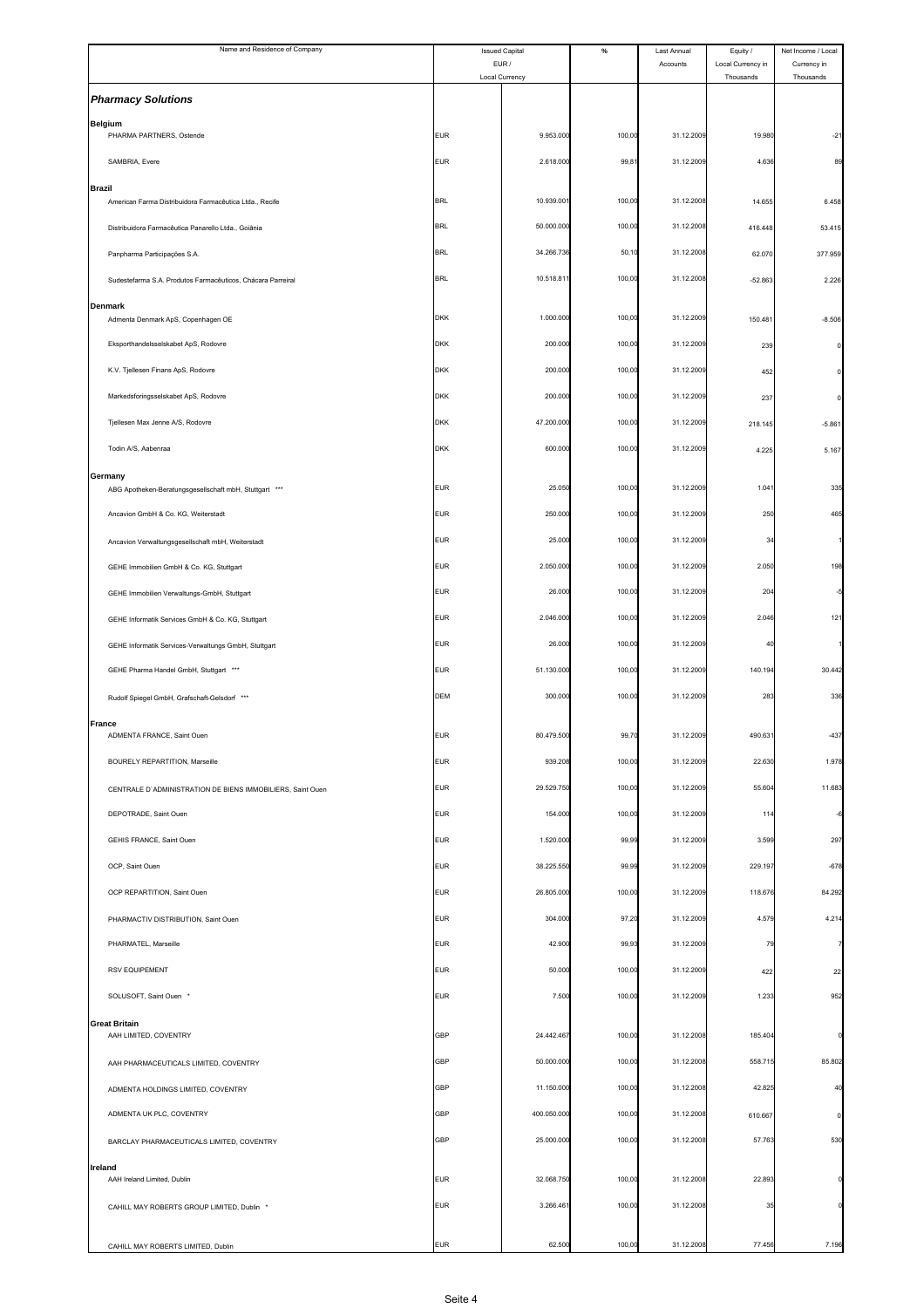| Name and Residence of Company                                     |            | <b>Issued Capital</b> | $\%$   | Last Annual | Equity /          | Net Income / Local |
|-------------------------------------------------------------------|------------|-----------------------|--------|-------------|-------------------|--------------------|
|                                                                   |            | EUR /                 |        | Accounts    | Local Currency in | Currency in        |
|                                                                   |            | Local Currency        |        |             | Thousands         | Thousands          |
| <b>Pharmacy Solutions</b>                                         |            |                       |        |             |                   |                    |
| <b>Belgium</b>                                                    |            |                       |        |             |                   |                    |
| PHARMA PARTNERS, Ostende                                          | <b>EUR</b> | 9.953.000             | 100,00 | 31.12.2009  | 19.980            | $-21$              |
| SAMBRIA, Evere                                                    | <b>EUR</b> | 2.618.000             | 99,81  | 31.12.2009  | 4.636             | 89                 |
| <b>Brazil</b>                                                     |            |                       |        |             |                   |                    |
| American Farma Distribuidora Farmacêutica Ltda., Recife           | <b>BRL</b> | 10.939.00             | 100,00 | 31.12.2008  | 14.655            | 6.458              |
| Distribuidora Farmacêutica Panarello Ltda., Goiânia               | <b>BRL</b> | 50.000.000            | 100,00 | 31.12.2008  | 416.448           | 53.415             |
|                                                                   |            |                       |        |             |                   |                    |
| Panpharma Participações S.A.                                      | <b>BRL</b> | 34.266.736            | 50,10  | 31.12.2008  | 62.070            | 377.959            |
| Sudestefarma S.A. Produtos Farmacêuticos, Chácara Parreiral       | <b>BRL</b> | 10.518.81             | 100,00 | 31.12.2008  | $-52.863$         | 2.226              |
| <b>Denmark</b>                                                    |            |                       |        |             |                   |                    |
| Admenta Denmark ApS, Copenhagen OE                                | <b>DKK</b> | 1.000.000             | 100,00 | 31.12.2009  | 150.48            | $-8.506$           |
| Eksporthandelsselskabet ApS, Rodovre                              | <b>DKK</b> | 200.000               | 100,00 | 31.12.2009  | 239               | $\Omega$           |
| K.V. Tjellesen Finans ApS, Rodovre                                | <b>DKK</b> | 200.000               | 100,00 | 31.12.2009  | 452               |                    |
|                                                                   |            |                       |        |             |                   |                    |
| Markedsforingsselskabet ApS, Rodovre                              | <b>DKK</b> | 200.000               | 100,00 | 31.12.2009  | 237               |                    |
| Tjellesen Max Jenne A/S, Rodovre                                  | <b>DKK</b> | 47.200.000            | 100,00 | 31.12.2009  | 218.145           | $-5.861$           |
| Todin A/S, Aabenraa                                               | <b>DKK</b> | 600.000               | 100,00 | 31.12.2009  | 4.225             | 5.167              |
|                                                                   |            |                       |        |             |                   |                    |
| Germany<br>ABG Apotheken-Beratungsgesellschaft mbH, Stuttgart *** | <b>EUR</b> | 25.050                | 100,00 | 31.12.2009  | 1.04              | 335                |
| Ancavion GmbH & Co. KG, Weiterstadt                               | <b>EUR</b> | 250.000               | 100,00 | 31.12.2009  | 250               | 465                |
|                                                                   |            |                       |        |             |                   |                    |
| Ancavion Verwaltungsgesellschaft mbH, Weiterstadt                 | <b>EUR</b> | 25.000                | 100,00 | 31.12.2009  | 3 <sup>2</sup>    |                    |
| GEHE Immobilien GmbH & Co. KG, Stuttgart                          | <b>EUR</b> | 2.050.000             | 100,00 | 31.12.2009  | 2.050             | 198                |
| GEHE Immobilien Verwaltungs-GmbH, Stuttgart                       | <b>EUR</b> | 26.000                | 100,00 | 31.12.2009  | 204               |                    |
|                                                                   |            |                       |        |             |                   |                    |
| GEHE Informatik Services GmbH & Co. KG, Stuttgart                 | <b>EUR</b> | 2.046.000             | 100,00 | 31.12.2009  | 2.046             | 121                |
| GEHE Informatik Services-Verwaltungs GmbH, Stuttgart              | <b>EUR</b> | 26.000                | 100,00 | 31.12.2009  | 40                |                    |
| GEHE Pharma Handel GmbH, Stuttgart ***                            | <b>EUR</b> | 51.130.000            | 100,00 | 31.12.2009  | 140.194           | 30.442             |
|                                                                   | DEM        | 300.000               | 100,00 | 31.12.2009  | 283               | 336                |
| Rudolf Spiegel GmbH, Grafschaft-Gelsdorf ***                      |            |                       |        |             |                   |                    |
| <b>France</b><br>ADMENTA FRANCE, Saint Ouen                       | <b>EUR</b> | 80.479.500            | 99,70  | 31.12.2009  | 490.63            | $-437$             |
|                                                                   |            |                       |        |             |                   |                    |
| BOURELY REPARTITION, Marseille                                    | <b>EUR</b> | 939.208               | 100,00 | 31.12.2009  | 22.630            | 1.978              |
| CENTRALE D'ADMINISTRATION DE BIENS IMMOBILIERS, Saint Ouen        | <b>EUR</b> | 29.529.750            | 100,00 | 31.12.2009  | 55.604            | 11.683             |
| DEPOTRADE, Saint Ouen                                             | <b>EUR</b> | 154.000               | 100,00 | 31.12.2009  | 114               |                    |
| GEHIS FRANCE, Saint Ouen                                          | <b>EUR</b> | 1.520.000             | 99,99  | 31.12.2009  | 3.599             | 297                |
|                                                                   |            |                       |        |             |                   |                    |
| OCP, Saint Ouen                                                   | <b>EUR</b> | 38.225.550            | 99,99  | 31.12.2009  | 229.197           | $-678$             |
| OCP REPARTITION, Saint Ouen                                       | <b>EUR</b> | 26.805.000            | 100,00 | 31.12.2009  | 118.676           | 84.292             |
| PHARMACTIV DISTRIBUTION, Saint Ouen                               | <b>EUR</b> | 304.000               | 97,20  | 31.12.2009  | 4.579             | 4.214              |
|                                                                   |            |                       |        |             |                   |                    |
| PHARMATEL, Marseille                                              | <b>EUR</b> | 42.900                | 99,93  | 31.12.2009  | 79                |                    |
| <b>RSV EQUIPEMENT</b>                                             | <b>EUR</b> | 50.000                | 100,00 | 31.12.2009  | 422               | 22                 |
| SOLUSOFT, Saint Ouen *                                            | <b>EUR</b> | 7.500                 | 100,00 | 31.12.2009  | 1.233             | 952                |
| <b>Great Britain</b>                                              |            |                       |        |             |                   |                    |
| AAH LIMITED, COVENTRY                                             | <b>GBP</b> | 24.442.467            | 100,00 | 31.12.2008  | 185.404           |                    |
| AAH PHARMACEUTICALS LIMITED, COVENTRY                             | GBP        | 50.000.000            | 100,00 | 31.12.2008  | 558.715           | 85.802             |
|                                                                   |            |                       |        |             |                   |                    |
| ADMENTA HOLDINGS LIMITED, COVENTRY                                | GBP        | 11.150.000            | 100,00 | 31.12.2008  | 42.825            | 40                 |
| ADMENTA UK PLC, COVENTRY                                          | <b>GBP</b> | 400.050.000           | 100,00 | 31.12.2008  | 610.667           |                    |
| BARCLAY PHARMACEUTICALS LIMITED, COVENTRY                         | GBP        | 25.000.000            | 100,00 | 31.12.2008  | 57.763            | 530                |
|                                                                   |            |                       |        |             |                   |                    |
| Ireland<br>AAH Ireland Limited, Dublin                            | <b>EUR</b> | 32.068.750            | 100,00 | 31.12.2008  | 22.893            |                    |
| CAHILL MAY ROBERTS GROUP LIMITED, Dublin *                        | <b>EUR</b> | 3.266.461             | 100,00 | 31.12.2008  | 35                |                    |
|                                                                   |            |                       |        |             |                   |                    |
| CAHILL MAY ROBERTS LIMITED, Dublin                                | <b>EUR</b> | 62.500                | 100,00 | 31.12.2008  | 77.456            | 7.196              |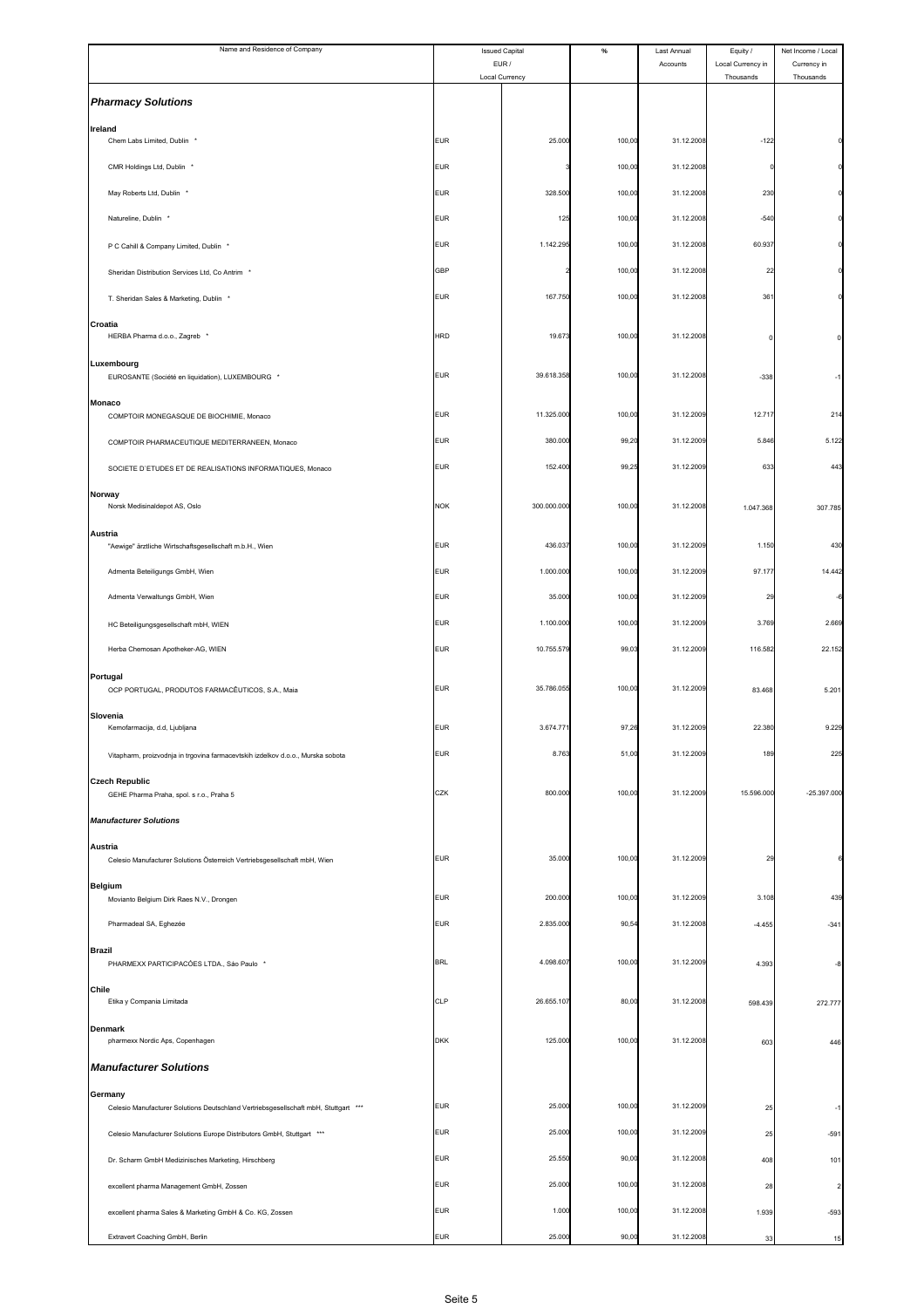| Name and Residence of Company                                                                        | <b>Issued Capital</b>    |                         | $\%$            | Last Annual              | Equity /                       | Net Income / Local       |
|------------------------------------------------------------------------------------------------------|--------------------------|-------------------------|-----------------|--------------------------|--------------------------------|--------------------------|
|                                                                                                      |                          | EUR /<br>Local Currency |                 | Accounts                 | Local Currency in<br>Thousands | Currency in<br>Thousands |
| <b>Pharmacy Solutions</b>                                                                            |                          |                         |                 |                          |                                |                          |
| Ireland<br>Chem Labs Limited, Dublin *                                                               | <b>EUR</b>               | 25.000                  | 100,00          | 31.12.2008               | $-122$                         |                          |
| CMR Holdings Ltd, Dublin *                                                                           | <b>EUR</b>               |                         | 100,00          | 31.12.2008               |                                |                          |
| May Roberts Ltd, Dublin *                                                                            | <b>EUR</b>               | 328.500                 | 100,00          | 31.12.2008               | 230                            |                          |
| Natureline, Dublin *                                                                                 | <b>EUR</b>               | 125                     | 100,00          | 31.12.2008               | $-540$                         |                          |
| P C Cahill & Company Limited, Dublin *                                                               | <b>EUR</b>               | 1.142.295               | 100,00          | 31.12.2008               | 60.937                         |                          |
| Sheridan Distribution Services Ltd, Co Antrim *                                                      | <b>GBP</b>               |                         | 100,00          | 31.12.2008               | 22                             |                          |
| T. Sheridan Sales & Marketing, Dublin *                                                              | <b>EUR</b>               | 167.750                 | 100,00          | 31.12.2008               | 361                            |                          |
| Croatia<br>HERBA Pharma d.o.o., Zagreb *                                                             | <b>HRD</b>               | 19.673                  | 100,00          | 31.12.2008               | п                              |                          |
| Luxembourg                                                                                           | <b>EUR</b>               | 39.618.358              | 100,00          | 31.12.2008               | $-338$                         |                          |
| EUROSANTE (Société en liquidation), LUXEMBOURG *<br>Monaco                                           |                          |                         |                 |                          |                                |                          |
| COMPTOIR MONEGASQUE DE BIOCHIMIE, Monaco                                                             | <b>EUR</b>               | 11.325.000              | 100,00          | 31.12.2009               | 12.717                         | 214                      |
| COMPTOIR PHARMACEUTIQUE MEDITERRANEEN, Monaco                                                        | <b>EUR</b>               | 380.000                 | 99,20           | 31.12.2009               | 5.846                          | 5.122                    |
| SOCIETE D'ETUDES ET DE REALISATIONS INFORMATIQUES, Monaco                                            | <b>EUR</b>               | 152.400                 | 99,25           | 31.12.2009               | 633                            | 443                      |
| Norway<br>Norsk Medisinaldepot AS, Oslo                                                              | <b>NOK</b>               | 300.000.000             | 100,00          | 31.12.2008               | 1.047.368                      | 307.785                  |
| Austria<br>"Aewige" ärztliche Wirtschaftsgesellschaft m.b.H., Wien                                   | <b>EUR</b>               | 436.037                 | 100,00          | 31.12.2009               | 1.150                          | 430                      |
| Admenta Beteiligungs GmbH, Wien                                                                      | <b>EUR</b>               | 1.000.000               | 100,00          | 31.12.2009               | 97.177                         | 14,442                   |
| Admenta Verwaltungs GmbH, Wien                                                                       | <b>EUR</b>               | 35.000                  | 100,00          | 31.12.2009               | 29                             |                          |
| HC Beteiligungsgesellschaft mbH, WIEN                                                                | <b>EUR</b>               | 1.100.000               | 100,00          | 31.12.2009               | 3.769                          | 2.669                    |
| Herba Chemosan Apotheker-AG, WIEN                                                                    | <b>EUR</b>               | 10.755.579              | 99,03           | 31.12.2009               | 116.582                        | 22.152                   |
| Portugal<br>OCP PORTUGAL, PRODUTOS FARMACÊUTICOS, S.A., Maia                                         | <b>EUR</b>               | 35.786.055              | 100,00          | 31.12.2009               | 83.468                         | 5.201                    |
| Slovenia<br>Kemofarmacija, d.d, Ljubljana                                                            | <b>EUR</b>               | 3.674.77                | 97,26           | 31.12.2009               | 22.380                         | 9.229                    |
| Vitapharm, proizvodnja in trgovina farmacevtskih izdelkov d.o.o., Murska sobota                      | <b>EUR</b>               | 8.763                   | 51,00           | 31.12.2009               | 189                            | 225                      |
| <b>Czech Republic</b><br>GEHE Pharma Praha, spol. s r.o., Praha 5                                    | CZK                      | 800.000                 | 100,00          | 31.12.2009               | 15.596.000                     | $-25.397.000$            |
| <b>Manufacturer Solutions</b>                                                                        |                          |                         |                 |                          |                                |                          |
| Austria                                                                                              |                          |                         |                 |                          |                                |                          |
| Celesio Manufacturer Solutions Österreich Vertriebsgesellschaft mbH, Wien                            | <b>EUR</b>               | 35.000                  | 100,00          | 31.12.2009               | $\overline{2}$                 |                          |
| <b>Belgium</b><br>Movianto Belgium Dirk Raes N.V., Drongen                                           | <b>EUR</b>               | 200.000                 | 100,00          | 31.12.2009               | 3.108                          | 439                      |
| Pharmadeal SA, Eghezée                                                                               | <b>EUR</b>               | 2.835.000               | 90,54           | 31.12.2008               | $-4.455$                       | $-341$                   |
| <b>Brazil</b><br>PHARMEXX PARTICIPACÓES LTDA., São Paulo *                                           | <b>BRL</b>               | 4.098.60                | 100,00          | 31.12.2009               | 4.393                          | $-8$                     |
| Chile<br>Etika y Compania Limitada                                                                   | CLP                      | 26.655.107              | 80,00           | 31.12.2008               | 598.439                        | 272.777                  |
| <b>Denmark</b><br>pharmexx Nordic Aps, Copenhagen                                                    | <b>DKK</b>               | 125.000                 | 100,00          | 31.12.2008               | 603                            | 446                      |
| <b>Manufacturer Solutions</b>                                                                        |                          |                         |                 |                          |                                |                          |
| Germany                                                                                              |                          |                         |                 |                          |                                |                          |
| Celesio Manufacturer Solutions Deutschland Vertriebsgesellschaft mbH, Stuttgart ***                  | <b>EUR</b>               | 25.000                  | 100,00          | 31.12.2009               | 25                             | -1                       |
| Celesio Manufacturer Solutions Europe Distributors GmbH, Stuttgart ***                               | <b>EUR</b>               | 25.000                  | 100,00          | 31.12.2009               | 25                             | $-591$                   |
| Dr. Scharm GmbH Medizinisches Marketing, Hirschberg                                                  | <b>EUR</b><br><b>EUR</b> | 25.550<br>25.000        | 90,00<br>100,00 | 31.12.2008<br>31.12.2008 | 408                            | 101                      |
| excellent pharma Management GmbH, Zossen<br>excellent pharma Sales & Marketing GmbH & Co. KG, Zossen | <b>EUR</b>               | 1.000                   | 100,00          | 31.12.2008               | 28<br>1.939                    | $-593$                   |
| Extravert Coaching GmbH, Berlin                                                                      | <b>EUR</b>               | 25.00                   | 90,00           | 31.12.2008               | 33                             | 15                       |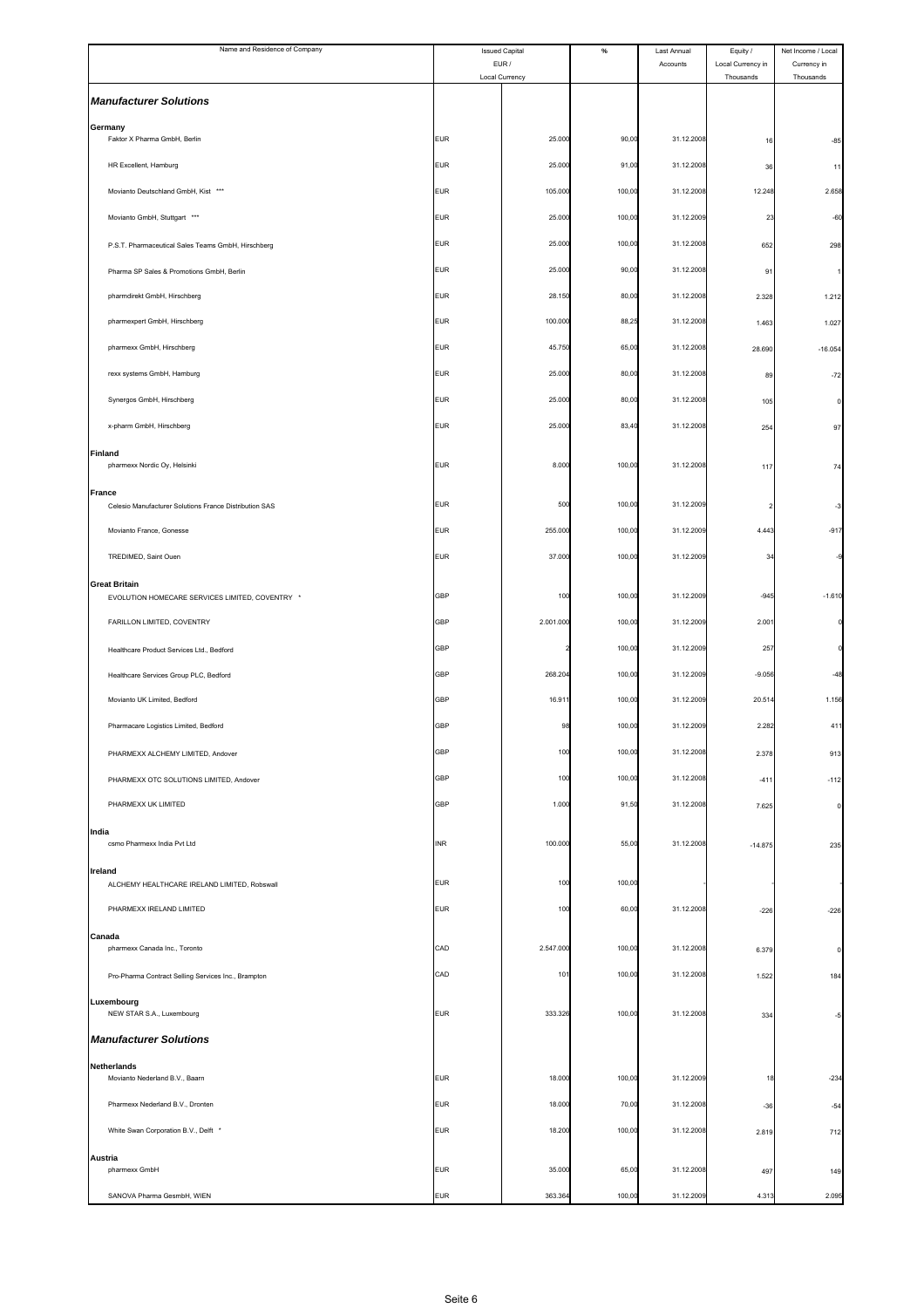| Name and Residence of Company                                                      |            | <b>Issued Capital</b>   | $\%$   | Last Annual | Equity /                       | Net Income / Local       |
|------------------------------------------------------------------------------------|------------|-------------------------|--------|-------------|--------------------------------|--------------------------|
|                                                                                    |            | EUR /<br>Local Currency |        | Accounts    | Local Currency in<br>Thousands | Currency in<br>Thousands |
| <b>Manufacturer Solutions</b>                                                      |            |                         |        |             |                                |                          |
| Germany<br>Faktor X Pharma GmbH, Berlin                                            | <b>EUR</b> | 25.000                  | 90,00  | 31.12.2008  | 16                             | $-85$                    |
| HR Excellent, Hamburg                                                              | <b>EUR</b> | 25.000                  | 91,00  | 31.12.2008  | 36                             | 11                       |
| Movianto Deutschland GmbH, Kist ***                                                | <b>EUR</b> | 105.000                 | 100,00 | 31.12.2008  | 12.248                         | 2.658                    |
| Movianto GmbH, Stuttgart ***                                                       | <b>EUR</b> | 25.000                  | 100,00 | 31.12.2009  | 23                             | $-60$                    |
| P.S.T. Pharmaceutical Sales Teams GmbH, Hirschberg                                 | <b>EUR</b> | 25.000                  | 100,00 | 31.12.2008  | 652                            | 298                      |
| Pharma SP Sales & Promotions GmbH, Berlin                                          | <b>EUR</b> | 25.000                  | 90,00  | 31.12.2008  | 91                             |                          |
| pharmdirekt GmbH, Hirschberg                                                       | <b>EUR</b> | 28.150                  | 80,00  | 31.12.2008  | 2.328                          | 1.212                    |
| pharmexpert GmbH, Hirschberg                                                       | <b>EUR</b> | 100.000                 | 88,25  | 31.12.2008  | 1.463                          | 1.027                    |
| pharmexx GmbH, Hirschberg                                                          | <b>EUR</b> | 45.750                  | 65,00  | 31.12.2008  | 28.690                         | $-16.054$                |
| rexx systems GmbH, Hamburg                                                         | <b>EUR</b> | 25.000                  | 80,00  | 31.12.2008  | 89                             | $-72$                    |
| Synergos GmbH, Hirschberg                                                          | <b>EUR</b> | 25.000                  | 80,00  | 31.12.2008  | 105                            | $\Omega$                 |
| x-pharm GmbH, Hirschberg                                                           | <b>EUR</b> | 25.000                  | 83,40  | 31.12.2008  | 254                            | 97                       |
| <b>Finland</b><br>pharmexx Nordic Oy, Helsinki                                     | <b>EUR</b> | 8.000                   | 100,00 | 31.12.2008  | 117                            | 74                       |
| <b>France</b>                                                                      | <b>EUR</b> | 500                     | 100,00 | 31.12.2009  |                                |                          |
| Celesio Manufacturer Solutions France Distribution SAS<br>Movianto France, Gonesse | <b>EUR</b> | 255.000                 | 100,00 | 31.12.2009  | 4.443                          | -3<br>$-917$             |
| TREDIMED, Saint Ouen                                                               | <b>EUR</b> | 37.000                  | 100,00 | 31.12.2009  | 3                              |                          |
| <b>Great Britain</b>                                                               |            |                         |        |             |                                |                          |
| EVOLUTION HOMECARE SERVICES LIMITED, COVENTRY *                                    | <b>GBP</b> | 100                     | 100,00 | 31.12.2009  | $-945$                         | $-1.610$                 |
| FARILLON LIMITED, COVENTRY                                                         | <b>GBP</b> | 2.001.000               | 100,00 | 31.12.2009  | 2.001                          |                          |
| Healthcare Product Services Ltd., Bedford                                          | <b>GBP</b> |                         | 100,00 | 31.12.2009  | 257                            |                          |
| Healthcare Services Group PLC, Bedford                                             | GBP        | 268.20                  | 100,00 | 31.12.2009  | $-9.056$                       | $-48$                    |
| Movianto UK Limited, Bedford                                                       | GBP        | 16.91                   | 100,00 | 31.12.2009  | 20.514                         | 1.156                    |
| Pharmacare Logistics Limited, Bedford                                              | GBP        | 98                      | 100,00 | 31.12.2009  | 2.282                          | 41 <sup>°</sup>          |
| PHARMEXX ALCHEMY LIMITED, Andover                                                  | GBP        | 100                     | 100,00 | 31.12.2008  | 2.378                          | 913                      |
| PHARMEXX OTC SOLUTIONS LIMITED, Andover                                            | <b>GBP</b> | 100                     | 100,00 | 31.12.2008  | $-41'$                         | $-112$                   |
| PHARMEXX UK LIMITED                                                                | <b>GBP</b> | 1.000                   | 91,50  | 31.12.2008  | 7.625                          | $\circ$                  |
| India<br>csmo Pharmexx India Pvt Ltd                                               | <b>INR</b> | 100.000                 | 55,00  | 31.12.2008  | $-14.875$                      | 235                      |
| Ireland<br>ALCHEMY HEALTHCARE IRELAND LIMITED, Robswall                            | <b>EUR</b> | 100                     | 100,00 |             |                                |                          |
| PHARMEXX IRELAND LIMITED                                                           | <b>EUR</b> | 100                     | 60,00  | 31.12.2008  | $-226$                         | $-226$                   |
| Canada                                                                             |            |                         |        |             |                                |                          |
| pharmexx Canada Inc., Toronto                                                      | CAD        | 2.547.000               | 100,00 | 31.12.2008  | 6.379                          | 0                        |
| Pro-Pharma Contract Selling Services Inc., Brampton                                | CAD        | 101                     | 100,00 | 31.12.2008  | 1.522                          | 184                      |
| Luxembourg<br>NEW STAR S.A., Luxembourg                                            | <b>EUR</b> | 333.326                 | 100,00 | 31.12.2008  | 334                            |                          |
| <b>Manufacturer Solutions</b>                                                      |            |                         |        |             |                                |                          |
| <b>Netherlands</b><br>Movianto Nederland B.V., Baarn                               | <b>EUR</b> | 18.000                  | 100,00 | 31.12.2009  | 18                             | $-234$                   |
| Pharmexx Nederland B.V., Dronten                                                   | <b>EUR</b> | 18.000                  | 70,00  | 31.12.2008  | $-36$                          | $-54$                    |
| White Swan Corporation B.V., Delft *                                               | <b>EUR</b> | 18.200                  | 100,00 | 31.12.2008  | 2.819                          | 712                      |
| Austria                                                                            |            |                         |        |             |                                |                          |
| pharmexx GmbH                                                                      | <b>EUR</b> | 35.000                  | 65,00  | 31.12.2008  | 497                            | 149                      |
| SANOVA Pharma GesmbH, WIEN                                                         | <b>EUR</b> | 363.364                 | 100,00 | 31.12.2009  | 4.313                          | 2.095                    |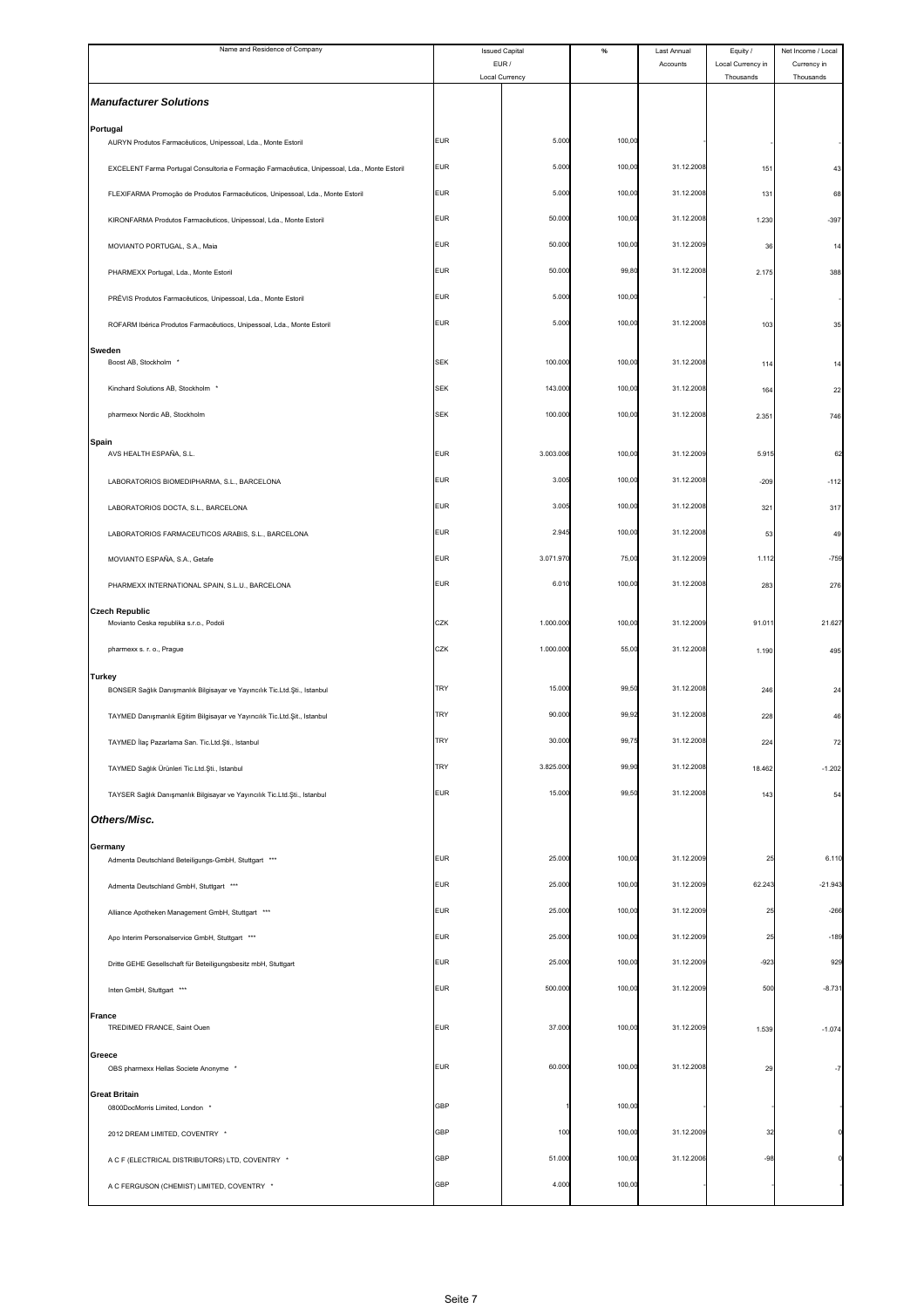| Name and Residence of Company                                                                   | <b>Issued Capital</b><br>EUR / |                | $\%$   | Last Annual<br>Accounts | Equity /<br>Local Currency in | Net Income / Local<br>Currency in |
|-------------------------------------------------------------------------------------------------|--------------------------------|----------------|--------|-------------------------|-------------------------------|-----------------------------------|
|                                                                                                 |                                | Local Currency |        |                         | Thousands                     | Thousands                         |
| <b>Manufacturer Solutions</b>                                                                   |                                |                |        |                         |                               |                                   |
| Portugal<br>AURYN Produtos Farmacêuticos, Unipessoal, Lda., Monte Estoril                       | <b>EUR</b>                     | 5.000          | 100,00 |                         |                               |                                   |
| EXCELENT Farma Portugal Consultoria e Formação Farmacêutica, Unipessoal, Lda., Monte Estoril    | <b>EUR</b>                     | 5.000          | 100,00 | 31.12.2008              | 151                           | 43                                |
| FLEXIFARMA Promoção de Produtos Farmacêuticos, Unipessoal, Lda., Monte Estoril                  | <b>EUR</b>                     | 5.000          | 100,00 | 31.12.2008              | 131                           | 68                                |
| KIRONFARMA Produtos Farmacêuticos, Unipessoal, Lda., Monte Estoril                              | <b>EUR</b>                     | 50.000         | 100,00 | 31.12.2008              | 1.230                         | $-397$                            |
| MOVIANTO PORTUGAL, S.A., Maia                                                                   | <b>EUR</b>                     | 50.000         | 100,00 | 31.12.2009              | 36                            | 14                                |
| PHARMEXX Portugal, Lda., Monte Estoril                                                          | <b>EUR</b>                     | 50.000         | 99,80  | 31.12.2008              | 2.175                         | 388                               |
| PRÉVIS Produtos Farmacêuticos, Unipessoal, Lda., Monte Estoril                                  | <b>EUR</b>                     | 5.000          | 100,00 |                         |                               |                                   |
| ROFARM Ibérica Produtos Farmacêutiocs, Unipessoal, Lda., Monte Estoril                          | <b>EUR</b>                     | 5.000          | 100,00 | 31.12.2008              | 103                           | 35                                |
| Sweden                                                                                          |                                |                |        |                         |                               |                                   |
| Boost AB, Stockholm                                                                             | <b>SEK</b>                     | 100.000        | 100,00 | 31.12.2008              | 114                           | 14                                |
| Kinchard Solutions AB, Stockholm *                                                              | <b>SEK</b>                     | 143.000        | 100,00 | 31.12.2008              | 164                           | 22                                |
| pharmexx Nordic AB, Stockholm                                                                   | <b>SEK</b>                     | 100.000        | 100,00 | 31.12.2008              | 2.351                         | 746                               |
| <b>Spain</b><br>AVS HEALTH ESPAÑA, S.L.                                                         | <b>EUR</b>                     | 3.003.006      | 100,00 | 31.12.2009              | 5.915                         | 62                                |
| LABORATORIOS BIOMEDIPHARMA, S.L., BARCELONA                                                     | <b>EUR</b>                     | 3.005          | 100,00 | 31.12.2008              | $-209$                        | $-112$                            |
| LABORATORIOS DOCTA, S.L., BARCELONA                                                             | <b>EUR</b>                     | 3.005          | 100,00 | 31.12.2008              | 321                           | 317                               |
| LABORATORIOS FARMACEUTICOS ARABIS, S.L., BARCELONA                                              | <b>EUR</b>                     | 2.945          | 100,00 | 31.12.2008              | 53                            | 49                                |
| MOVIANTO ESPAÑA, S.A., Getafe                                                                   | <b>EUR</b>                     | 3.071.970      | 75,00  | 31.12.2009              | 1.112                         | $-759$                            |
| PHARMEXX INTERNATIONAL SPAIN, S.L.U., BARCELONA                                                 | <b>EUR</b>                     | 6.010          | 100,00 | 31.12.2008              | 283                           | 276                               |
| <b>Czech Republic</b>                                                                           |                                |                |        |                         |                               |                                   |
| Movianto Ceska republika s.r.o., Podoli                                                         | CZK                            | 1.000.000      | 100,00 | 31.12.2009              | 91.011                        | 21.627                            |
| pharmexx s. r. o., Prague                                                                       | CZK                            | 1.000.000      | 55,00  | 31.12.2008              | 1.190                         | 495                               |
| <b>Turkey</b><br>BONSER Sağlık Danışmanlık Bilgisayar ve Yayıncılık Tic.Ltd.Şti., Istanbul      | TRY                            | 15.000         | 99,50  | 31.12.2008              | 246                           | 24                                |
| TAYMED Danışmanlık Eğitim Bilgisayar ve Yayıncılık Tic.Ltd.Şit., Istanbul                       | <b>TRY</b>                     | 90.000         | 99,92  | 31.12.2008              | 228                           | 46                                |
| TAYMED Ilaç Pazarlama San. Tic.Ltd.Şti., Istanbul                                               | TRY                            | 30.000         | 99,75  | 31.12.2008              | 224                           | 72                                |
| TAYMED Sağlık Ürünleri Tic.Ltd.Şti., Istanbul                                                   | TRY                            | 3.825.000      | 99,90  | 31.12.2008              | 18.462                        | $-1.202$                          |
| TAYSER Sağlık Danışmanlık Bilgisayar ve Yayıncılık Tic.Ltd.Şti., Istanbul                       | <b>EUR</b>                     | 15.000         | 99,50  | 31.12.2008              | 143                           | 54                                |
| Others/Misc.                                                                                    |                                |                |        |                         |                               |                                   |
| Germany                                                                                         | <b>EUR</b>                     | 25.000         | 100,00 | 31.12.2009              | 25                            | 6.110                             |
| Admenta Deutschland Beteiligungs-GmbH, Stuttgart ***<br>Admenta Deutschland GmbH, Stuttgart *** | <b>EUR</b>                     | 25.000         | 100,00 | 31.12.2009              | 62.243                        | $-21.943$                         |
| Alliance Apotheken Management GmbH, Stuttgart ***                                               | <b>EUR</b>                     | 25.000         | 100,00 | 31.12.2009              | 25                            | $-266$                            |
|                                                                                                 | <b>EUR</b>                     | 25.000         | 100,00 | 31.12.2009              | 25                            | $-189$                            |
| Apo Interim Personalservice GmbH, Stuttgart ***                                                 | <b>EUR</b>                     | 25.000         | 100,00 | 31.12.2009              | $-923$                        | 929                               |
| Dritte GEHE Gesellschaft für Beteiligungsbesitz mbH, Stuttgart                                  | <b>EUR</b>                     | 500.000        | 100,00 | 31.12.2009              | 500                           | $-8.731$                          |
| Inten GmbH, Stuttgart ***                                                                       |                                |                |        |                         |                               |                                   |
| <b>France</b><br>TREDIMED FRANCE, Saint Ouen                                                    | <b>EUR</b>                     | 37.000         | 100,00 | 31.12.2009              | 1.539                         | $-1.074$                          |
| Greece<br>OBS pharmexx Hellas Societe Anonyme *                                                 | <b>EUR</b>                     | 60.000         | 100,00 | 31.12.2008              | 29                            |                                   |
| <b>Great Britain</b><br>0800DocMorris Limited, London *                                         | <b>GBP</b>                     |                | 100,00 |                         |                               |                                   |
| 2012 DREAM LIMITED, COVENTRY *                                                                  | <b>GBP</b>                     | 100            | 100,00 | 31.12.2009              | 32                            |                                   |
| A C F (ELECTRICAL DISTRIBUTORS) LTD, COVENTRY *                                                 | <b>GBP</b>                     | 51.000         | 100,00 | 31.12.2006              | $-98$                         |                                   |
|                                                                                                 | <b>GBP</b>                     | 4.000          | 100,00 |                         |                               |                                   |
| A C FERGUSON (CHEMIST) LIMITED, COVENTRY *                                                      |                                |                |        |                         |                               |                                   |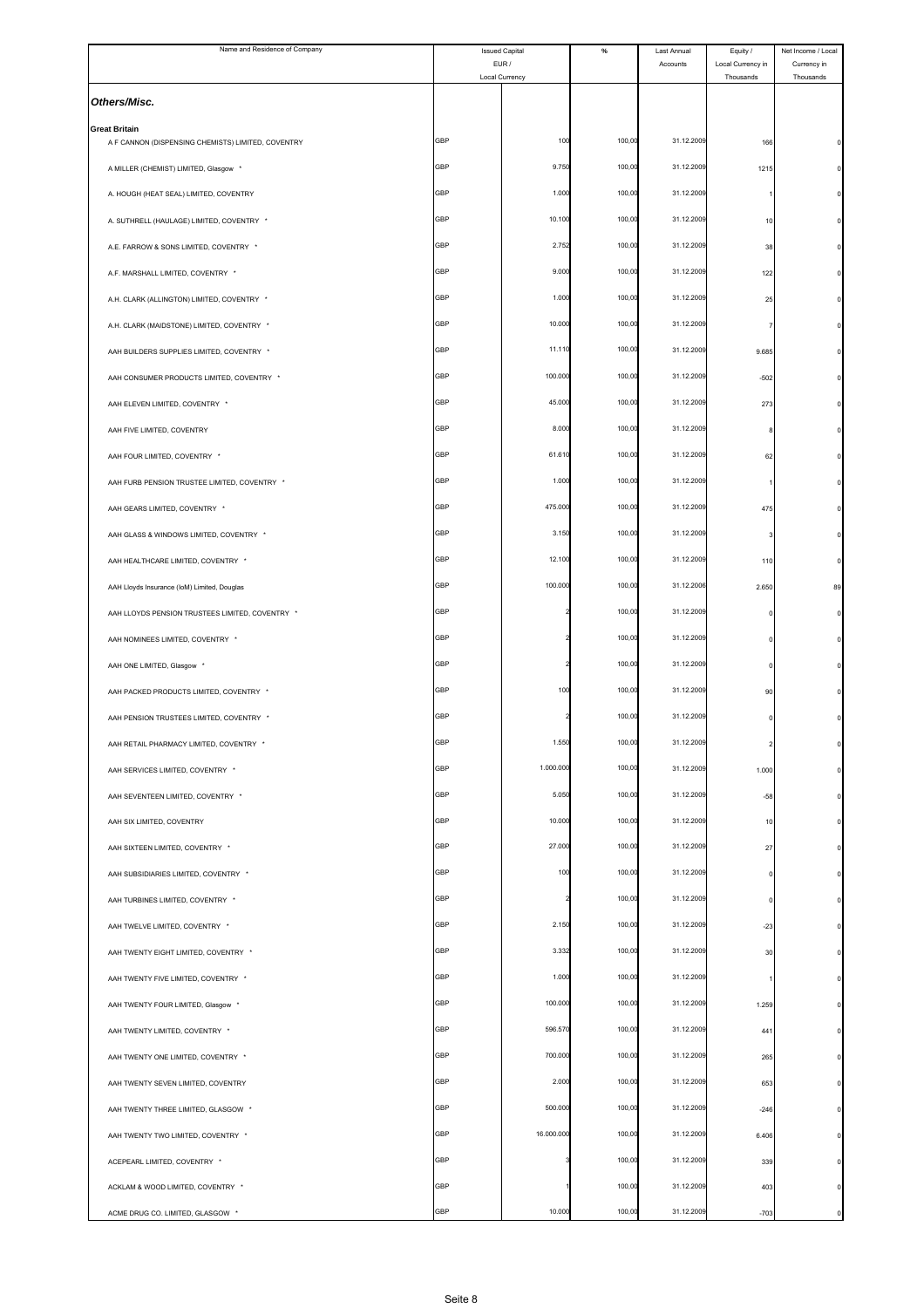| Name and Residence of Company                                              | <b>Issued Capital</b><br>EUR / |                | $\%$   | Last Annual | Equity /                       | Net Income / Local       |
|----------------------------------------------------------------------------|--------------------------------|----------------|--------|-------------|--------------------------------|--------------------------|
|                                                                            |                                | Local Currency |        | Accounts    | Local Currency in<br>Thousands | Currency in<br>Thousands |
| Others/Misc.                                                               |                                |                |        |             |                                |                          |
| <b>Great Britain</b><br>A F CANNON (DISPENSING CHEMISTS) LIMITED, COVENTRY | GBP                            | 100            | 100,00 | 31.12.2009  | 166                            |                          |
| A MILLER (CHEMIST) LIMITED, Glasgow *                                      | GBP                            | 9.750          | 100,00 | 31.12.2009  | 1215                           |                          |
| A. HOUGH (HEAT SEAL) LIMITED, COVENTRY                                     | GBP                            | 1.000          | 100,00 | 31.12.2009  |                                |                          |
| A. SUTHRELL (HAULAGE) LIMITED, COVENTRY *                                  | GBP                            | 10.100         | 100,00 | 31.12.2009  | 10                             |                          |
| A.E. FARROW & SONS LIMITED, COVENTRY *                                     | GBP                            | 2.752          | 100,00 | 31.12.2009  | 38                             |                          |
| A.F. MARSHALL LIMITED, COVENTRY *                                          | <b>GBP</b>                     | 9.000          | 100,00 | 31.12.2009  | 122                            |                          |
| A.H. CLARK (ALLINGTON) LIMITED, COVENTRY *                                 | GBP                            | 1.000          | 100,00 | 31.12.2009  | 25                             |                          |
| A.H. CLARK (MAIDSTONE) LIMITED, COVENTRY *                                 | GBP                            | 10.000         | 100,00 | 31.12.2009  | 7                              |                          |
|                                                                            | GBP                            | 11.110         | 100,00 | 31.12.2009  |                                |                          |
| AAH BUILDERS SUPPLIES LIMITED, COVENTRY *                                  | GBP                            | 100.000        | 100,00 | 31.12.2009  | 9.685                          |                          |
| AAH CONSUMER PRODUCTS LIMITED, COVENTRY *                                  | <b>GBP</b>                     | 45.000         | 100,00 | 31.12.2009  | $-502$                         |                          |
| AAH ELEVEN LIMITED, COVENTRY *                                             |                                |                |        | 31.12.2009  | 273                            |                          |
| AAH FIVE LIMITED, COVENTRY                                                 | GBP                            | 8.000          | 100,00 |             | 8                              |                          |
| AAH FOUR LIMITED, COVENTRY *                                               | GBP                            | 61.610         | 100,00 | 31.12.2009  | 62                             |                          |
| AAH FURB PENSION TRUSTEE LIMITED, COVENTRY *                               | GBP                            | 1.000          | 100,00 | 31.12.2009  |                                |                          |
| AAH GEARS LIMITED, COVENTRY *                                              | GBP                            | 475.000        | 100,00 | 31.12.2009  | 475                            |                          |
| AAH GLASS & WINDOWS LIMITED, COVENTRY *                                    | GBP                            | 3.150          | 100,00 | 31.12.2009  | 3                              |                          |
| AAH HEALTHCARE LIMITED, COVENTRY *                                         | GBP                            | 12.100         | 100,00 | 31.12.2009  | 110                            |                          |
| AAH Lloyds Insurance (IoM) Limited, Douglas                                | GBP                            | 100.000        | 100,00 | 31.12.2006  | 2.650                          | 89                       |
| AAH LLOYDS PENSION TRUSTEES LIMITED, COVENTRY *                            | <b>GBP</b>                     |                | 100,00 | 31.12.2009  |                                |                          |
| AAH NOMINEES LIMITED, COVENTRY *                                           | GBP                            |                | 100,0  | 31.12.2009  |                                |                          |
| AAH ONE LIMITED, Glasgow *                                                 | GBP                            |                | 100,00 | 31.12.2009  |                                |                          |
| AAH PACKED PRODUCTS LIMITED, COVENTRY *                                    | GBP                            | 100            | 100,00 | 31.12.2009  | 90                             |                          |
| AAH PENSION TRUSTEES LIMITED, COVENTRY *                                   | GBP                            |                | 100,00 | 31.12.2009  |                                |                          |
| AAH RETAIL PHARMACY LIMITED, COVENTRY *                                    | GBP                            | 1.550          | 100,00 | 31.12.2009  | 2                              |                          |
| AAH SERVICES LIMITED, COVENTRY *                                           | GBP                            | 1.000.000      | 100,00 | 31.12.2009  | 1.000                          |                          |
| AAH SEVENTEEN LIMITED, COVENTRY *                                          | <b>GBP</b>                     | 5.050          | 100,00 | 31.12.2009  | $-58$                          |                          |
| AAH SIX LIMITED, COVENTRY                                                  | GBP                            | 10.000         | 100,00 | 31.12.2009  | 10                             |                          |
| AAH SIXTEEN LIMITED, COVENTRY *                                            | GBP                            | 27.000         | 100,00 | 31.12.2009  | 27                             |                          |
| AAH SUBSIDIARIES LIMITED, COVENTRY *                                       | <b>GBP</b>                     | 100            | 100,00 | 31.12.2009  | 0                              |                          |
| AAH TURBINES LIMITED, COVENTRY *                                           | GBP                            |                | 100,00 | 31.12.2009  | $\circ$                        |                          |
| AAH TWELVE LIMITED, COVENTRY *                                             | <b>GBP</b>                     | 2.150          | 100,00 | 31.12.2009  | $-23$                          |                          |
| AAH TWENTY EIGHT LIMITED, COVENTRY *                                       | GBP                            | 3.332          | 100,00 | 31.12.2009  | 30                             |                          |
| AAH TWENTY FIVE LIMITED, COVENTRY *                                        | GBP                            | 1.000          | 100,00 | 31.12.2009  |                                |                          |
| AAH TWENTY FOUR LIMITED, Glasgow *                                         | <b>GBP</b>                     | 100.000        | 100,00 | 31.12.2009  | 1.259                          |                          |
| AAH TWENTY LIMITED, COVENTRY *                                             | GBP                            | 596.570        | 100,00 | 31.12.2009  | 441                            |                          |
| AAH TWENTY ONE LIMITED, COVENTRY *                                         | <b>GBP</b>                     | 700.000        | 100,00 | 31.12.2009  | 265                            |                          |
| AAH TWENTY SEVEN LIMITED, COVENTRY                                         | GBP                            | 2.000          | 100,00 | 31.12.2009  | 653                            |                          |
| AAH TWENTY THREE LIMITED, GLASGOW *                                        | GBP                            | 500.000        | 100,00 | 31.12.2009  | $-246$                         |                          |
| AAH TWENTY TWO LIMITED, COVENTRY *                                         | <b>GBP</b>                     | 16.000.000     | 100,00 | 31.12.2009  | 6.406                          |                          |
| ACEPEARL LIMITED, COVENTRY *                                               | GBP                            |                | 100,00 | 31.12.2009  | 339                            |                          |
| ACKLAM & WOOD LIMITED, COVENTRY *                                          | <b>GBP</b>                     |                | 100,00 | 31.12.2009  | 403                            |                          |
| ACME DRUG CO. LIMITED, GLASGOW *                                           | GBP                            | 10.000         | 100,00 | 31.12.2009  | $-703$                         |                          |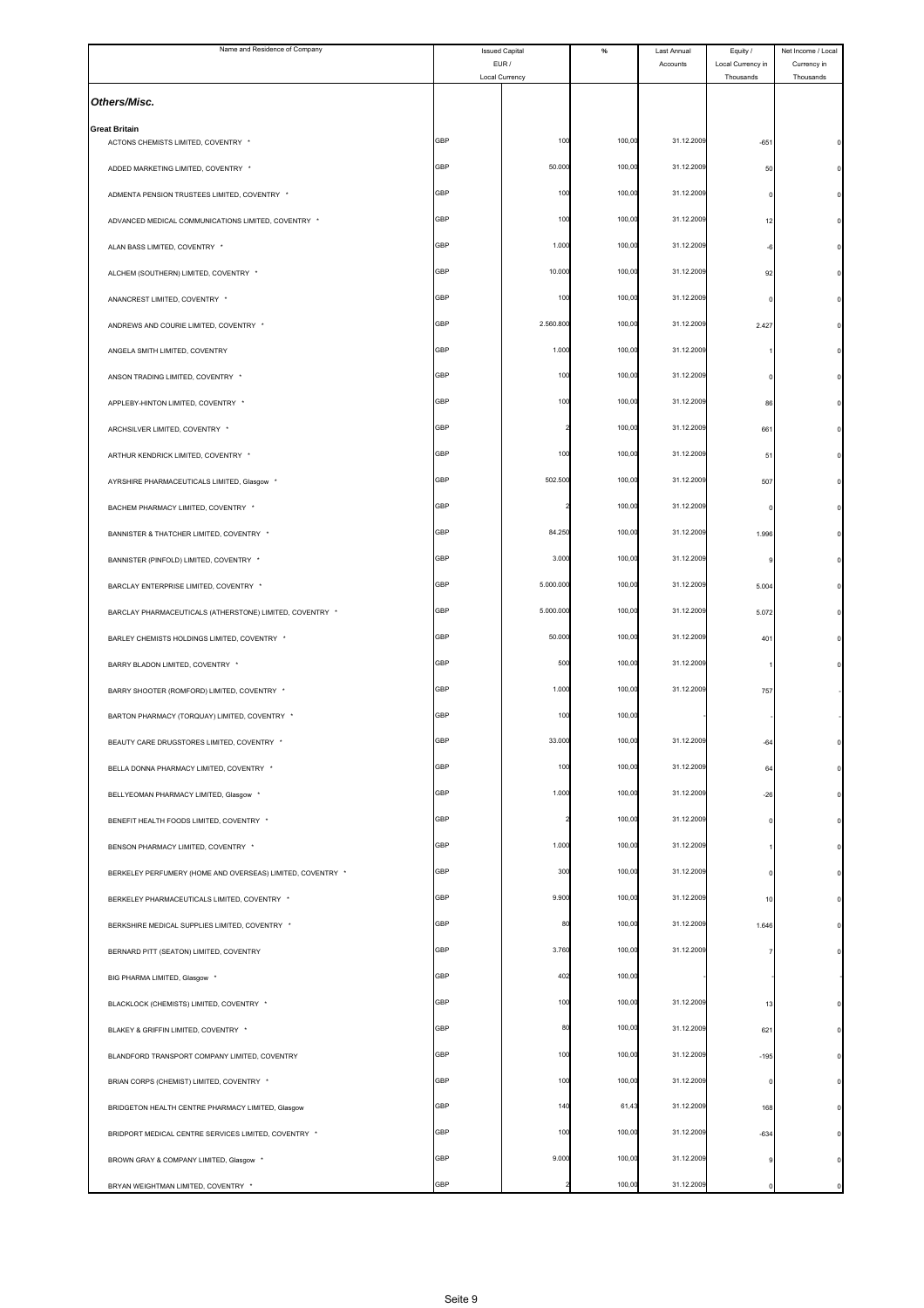| Name and Residence of Company                               | <b>Issued Capital</b><br>EUR / |                | $\%$   | Last Annual<br>Accounts | Equity /<br>Local Currency in | Net Income / Local<br>Currency in |
|-------------------------------------------------------------|--------------------------------|----------------|--------|-------------------------|-------------------------------|-----------------------------------|
|                                                             |                                | Local Currency |        |                         | Thousands                     | Thousands                         |
| Others/Misc.                                                |                                |                |        |                         |                               |                                   |
| <b>Great Britain</b><br>ACTONS CHEMISTS LIMITED, COVENTRY * | GBP                            | 100            | 100,00 | 31.12.2009              | $-651$                        |                                   |
| ADDED MARKETING LIMITED, COVENTRY *                         | GBP                            | 50.000         | 100,00 | 31.12.2009              | 50                            |                                   |
| ADMENTA PENSION TRUSTEES LIMITED, COVENTRY *                | <b>GBP</b>                     | 100            | 100,00 | 31.12.2009              |                               |                                   |
| ADVANCED MEDICAL COMMUNICATIONS LIMITED, COVENTRY *         | GBP                            | 100            | 100,00 | 31.12.2009              | 12                            |                                   |
| ALAN BASS LIMITED, COVENTRY *                               | <b>GBP</b>                     | 1.000          | 100,00 | 31.12.2009              | ۰F                            |                                   |
| ALCHEM (SOUTHERN) LIMITED, COVENTRY *                       | GBP                            | 10.000         | 100,00 | 31.12.2009              | 92                            |                                   |
| ANANCREST LIMITED, COVENTRY *                               | GBP                            | 10             | 100,00 | 31.12.2009              |                               |                                   |
| ANDREWS AND COURIE LIMITED, COVENTRY *                      | <b>GBP</b>                     | 2.560.800      | 100,00 | 31.12.2009              | 2.42                          |                                   |
| ANGELA SMITH LIMITED, COVENTRY                              | <b>GBP</b>                     | 1.000          | 100,00 | 31.12.2009              |                               |                                   |
| ANSON TRADING LIMITED, COVENTRY *                           | <b>GBP</b>                     | 100            | 100,00 | 31.12.2009              |                               |                                   |
| APPLEBY-HINTON LIMITED, COVENTRY *                          | GBP                            | 100            | 100,00 | 31.12.2009              | 86                            |                                   |
| ARCHSILVER LIMITED, COVENTRY *                              | GBP                            |                | 100,00 | 31.12.2009              | 661                           |                                   |
| ARTHUR KENDRICK LIMITED, COVENTRY *                         | GBP                            | 100            | 100,00 | 31.12.2009              | $5^{\circ}$                   |                                   |
| AYRSHIRE PHARMACEUTICALS LIMITED, Glasgow *                 | <b>GBP</b>                     | 502.500        | 100,00 | 31.12.2009              | 507                           |                                   |
| BACHEM PHARMACY LIMITED, COVENTRY *                         | <b>GBP</b>                     |                | 100,00 | 31.12.2009              |                               |                                   |
| BANNISTER & THATCHER LIMITED, COVENTRY *                    | GBP                            | 84.250         | 100,00 | 31.12.2009              | 1,996                         |                                   |
| BANNISTER (PINFOLD) LIMITED, COVENTRY *                     | GBP                            | 3.000          | 100,00 | 31.12.2009              |                               |                                   |
| BARCLAY ENTERPRISE LIMITED, COVENTRY *                      | GBP                            | 5.000.000      | 100,00 | 31.12.2009              | 5.004                         |                                   |
| BARCLAY PHARMACEUTICALS (ATHERSTONE) LIMITED, COVENTRY *    | <b>GBP</b>                     | 5.000.000      | 100,00 | 31.12.2009              | 5.072                         |                                   |
| BARLEY CHEMISTS HOLDINGS LIMITED, COVENTRY *                | <b>GBP</b>                     | 50.000         | 100,00 | 31.12.2009              | 401                           |                                   |
| BARRY BLADON LIMITED, COVENTRY *                            | GBP                            | 500            | 100,00 | 31.12.2009              |                               |                                   |
| BARRY SHOOTER (ROMFORD) LIMITED, COVENTRY *                 | GBP                            | 1.000          | 100,00 | 31.12.2009              | 757                           |                                   |
| BARTON PHARMACY (TORQUAY) LIMITED, COVENTRY *               | GBP                            | 100            | 100,00 |                         |                               |                                   |
| BEAUTY CARE DRUGSTORES LIMITED, COVENTRY                    | ЭBР                            | 33.OC          | 100,0  | 31.12.200               | $-64$                         |                                   |
| BELLA DONNA PHARMACY LIMITED, COVENTRY *                    | GBP                            | 100            | 100,00 | 31.12.2009              | 64                            |                                   |
| BELLYEOMAN PHARMACY LIMITED, Glasgow *                      | GBP                            | 1.000          | 100,00 | 31.12.2009              | $-26$                         |                                   |
| BENEFIT HEALTH FOODS LIMITED, COVENTRY *                    | GBP                            |                | 100,00 | 31.12.2009              |                               |                                   |
| BENSON PHARMACY LIMITED, COVENTRY *                         | <b>GBP</b>                     | 1.000          | 100,00 | 31.12.2009              |                               |                                   |
| BERKELEY PERFUMERY (HOME AND OVERSEAS) LIMITED, COVENTRY *  | <b>GBP</b>                     | 300            | 100,00 | 31.12.2009              |                               |                                   |
| BERKELEY PHARMACEUTICALS LIMITED, COVENTRY *                | <b>GBP</b>                     | 9.900          | 100,00 | 31.12.2009              | 10                            |                                   |
| BERKSHIRE MEDICAL SUPPLIES LIMITED, COVENTRY *              | GBP                            | 80             | 100,00 | 31.12.2009              | 1.646                         |                                   |
| BERNARD PITT (SEATON) LIMITED, COVENTRY                     | GBP                            | 3.760          | 100,00 | 31.12.2009              |                               |                                   |
| BIG PHARMA LIMITED, Glasgow *                               | <b>GBP</b>                     | 402            | 100,00 |                         |                               |                                   |
| BLACKLOCK (CHEMISTS) LIMITED, COVENTRY *                    | <b>GBP</b>                     | 100            | 100,00 | 31.12.2009              | 13                            |                                   |
| BLAKEY & GRIFFIN LIMITED, COVENTRY *                        | <b>GBP</b>                     | 80             | 100,00 | 31.12.2009              | 621                           |                                   |
| BLANDFORD TRANSPORT COMPANY LIMITED, COVENTRY               | GBP                            | 100            | 100,00 | 31.12.2009              | -195                          |                                   |
| BRIAN CORPS (CHEMIST) LIMITED, COVENTRY *                   | GBP                            | 100            | 100,00 | 31.12.2009              | 0                             |                                   |
| BRIDGETON HEALTH CENTRE PHARMACY LIMITED, Glasgow           | <b>GBP</b>                     | 140            | 61,43  | 31.12.2009              | 168                           |                                   |
| BRIDPORT MEDICAL CENTRE SERVICES LIMITED, COVENTRY *        | GBP                            | 100            | 100,00 | 31.12.2009              | $-634$                        |                                   |
| BROWN GRAY & COMPANY LIMITED, Glasgow *                     | <b>GBP</b>                     | 9.000          | 100,00 | 31.12.2009              |                               |                                   |
| BRYAN WEIGHTMAN LIMITED, COVENTRY *                         | GBP                            |                | 100,00 | 31.12.2009              |                               |                                   |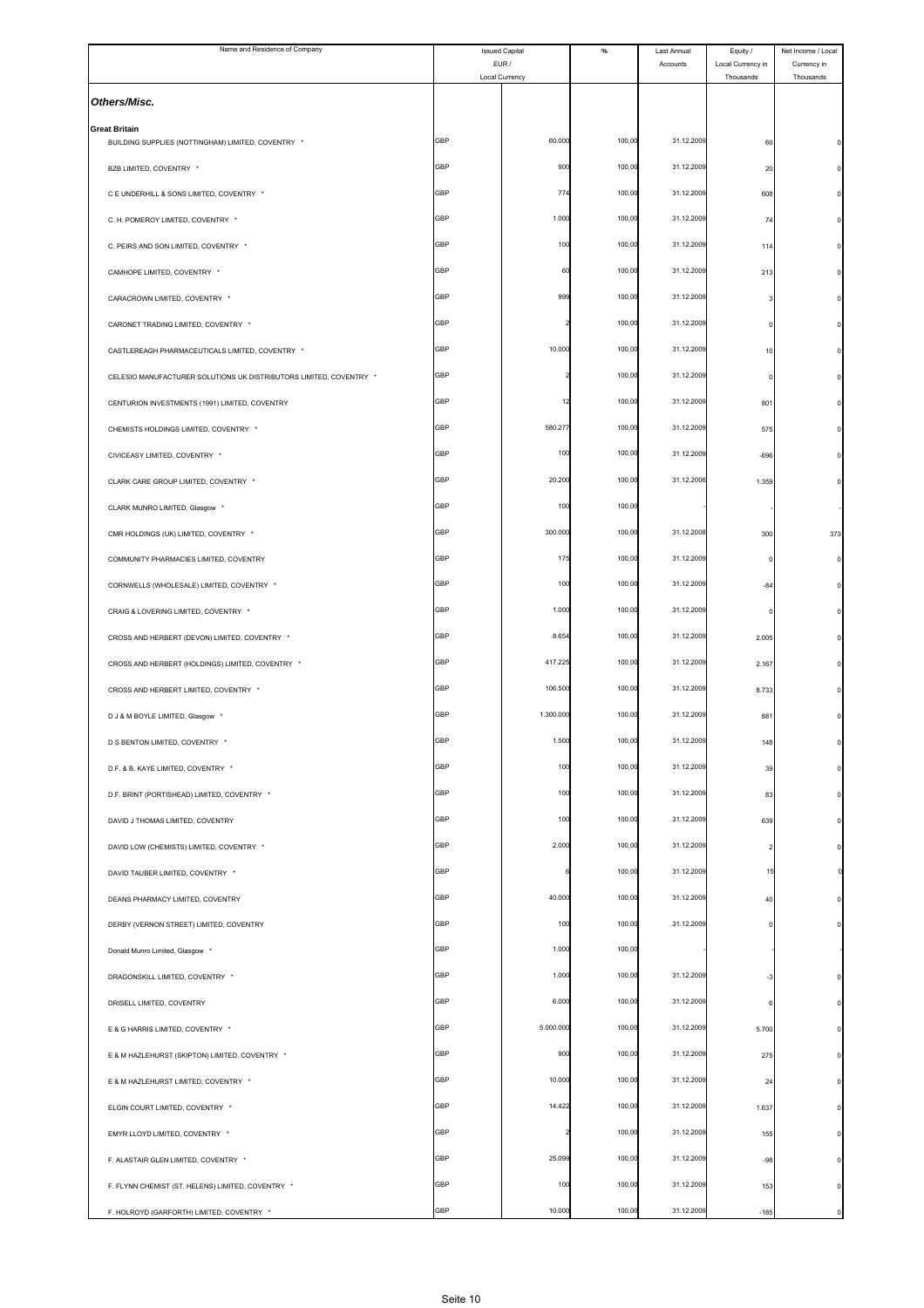| Name and Residence of Company                                              | <b>Issued Capital</b><br>EUR / |                | $\%$   | Last Annual<br>Accounts | Equity /<br>Local Currency in | Net Income / Local<br>Currency in |
|----------------------------------------------------------------------------|--------------------------------|----------------|--------|-------------------------|-------------------------------|-----------------------------------|
|                                                                            |                                | Local Currency |        |                         | Thousands                     | Thousands                         |
| Others/Misc.                                                               |                                |                |        |                         |                               |                                   |
| <b>Great Britain</b><br>BUILDING SUPPLIES (NOTTINGHAM) LIMITED, COVENTRY * | GBP                            | 60.000         | 100,00 | 31.12.2009              | 60                            |                                   |
| BZB LIMITED, COVENTRY *                                                    | GBP                            | 900            | 100,00 | 31.12.2009              | 20                            |                                   |
| C E UNDERHILL & SONS LIMITED, COVENTRY *                                   | GBP                            | 774            | 100,00 | 31.12.2009              | 608                           |                                   |
| C. H. POMEROY LIMITED, COVENTRY *                                          | GBP                            | 1.000          | 100,00 | 31.12.2009              | 74                            |                                   |
| C. PEIRS AND SON LIMITED, COVENTRY *                                       | GBP                            | 100            | 100,00 | 31.12.2009              | 114                           |                                   |
| CAMHOPE LIMITED, COVENTRY *                                                | GBP                            | 60             | 100,00 | 31.12.2009              | 213                           |                                   |
| CARACROWN LIMITED, COVENTRY *                                              | GBP                            | 999            | 100,00 | 31.12.2009              |                               |                                   |
| CARONET TRADING LIMITED, COVENTRY *                                        | GBP                            |                | 100,00 | 31.12.2009              |                               |                                   |
| CASTLEREAGH PHARMACEUTICALS LIMITED, COVENTRY *                            | GBP                            | 10.000         | 100,00 | 31.12.2009              | 10                            |                                   |
| CELESIO MANUFACTURER SOLUTIONS UK DISTRIBUTORS LIMITED, COVENTRY *         | <b>GBP</b>                     |                | 100,00 | 31.12.2009              | 0                             |                                   |
| CENTURION INVESTMENTS (1991) LIMITED, COVENTRY                             | GBP                            | 12             | 100,00 | 31.12.2009              | 801                           |                                   |
| CHEMISTS HOLDINGS LIMITED, COVENTRY *                                      | GBP                            | 580.277        | 100,00 | 31.12.2009              | 575                           |                                   |
| CIVICEASY LIMITED, COVENTRY *                                              | GBP                            | 100            | 100,00 | 31.12.2009              | $-696$                        |                                   |
| CLARK CARE GROUP LIMITED, COVENTRY *                                       | GBP                            | 20.200         | 100,00 | 31.12.2006              | 1.359                         |                                   |
| CLARK MUNRO LIMITED, Glasgow *                                             | GBP                            | 100            | 100,00 |                         |                               |                                   |
| CMR HOLDINGS (UK) LIMITED, COVENTRY *                                      | GBP                            | 300.000        | 100,00 | 31.12.2008              | 300                           | 373                               |
| COMMUNITY PHARMACIES LIMITED, COVENTRY                                     | GBP                            | 175            | 100,00 | 31.12.2009              |                               |                                   |
| CORNWELLS (WHOLESALE) LIMITED, COVENTRY *                                  | GBP                            | 100            | 100,00 | 31.12.2009              | $-84$                         |                                   |
| CRAIG & LOVERING LIMITED, COVENTRY *                                       | GBP                            | 1.000          | 100,00 | 31.12.2009              | $\Omega$                      |                                   |
| CROSS AND HERBERT (DEVON) LIMITED, COVENTRY *                              | GBP                            | 8.654          | 100,00 | 31.12.2009              | 2.005                         |                                   |
| CROSS AND HERBERT (HOLDINGS) LIMITED, COVENTRY *                           | GBP                            | 417.225        | 100,00 | 31.12.2009              | 2.167                         |                                   |
| CROSS AND HERBERT LIMITED, COVENTRY *                                      | GBP                            | 106.500        | 100,00 | 31.12.2009              | 8.733                         |                                   |
| D J & M BOYLE LIMITED, Glasgow *                                           | GBP                            | 1.300.000      | 100,00 | 31.12.2009              | 881                           |                                   |
| D S BENTON LIMITED, COVENTRY *                                             | ЭBР                            | 1.50           | 100,0  | 31.12.200               | 148                           |                                   |
| D.F. & B. KAYE LIMITED, COVENTRY *                                         | GBP                            | 100            | 100,00 | 31.12.2009              | 39                            |                                   |
| D.F. BRINT (PORTISHEAD) LIMITED, COVENTRY *                                | GBP                            | 100            | 100,00 | 31.12.2009              | 83                            |                                   |
| DAVID J THOMAS LIMITED, COVENTRY                                           | GBP                            | 100            | 100,00 | 31.12.2009              | 639                           |                                   |
| DAVID LOW (CHEMISTS) LIMITED, COVENTRY *                                   | <b>GBP</b>                     | 2.000          | 100,00 | 31.12.2009              | $\overline{a}$                |                                   |
| DAVID TAUBER LIMITED, COVENTRY *                                           | GBP                            |                | 100,00 | 31.12.2009              | 15                            |                                   |
| DEANS PHARMACY LIMITED, COVENTRY                                           | GBP                            | 40.000         | 100,00 | 31.12.2009              | 40                            |                                   |
| DERBY (VERNON STREET) LIMITED, COVENTRY                                    | GBP                            | 100            | 100,00 | 31.12.2009              | 0                             |                                   |
| Donald Munro Limited, Glasgow *                                            | GBP                            | 1.000          | 100,00 |                         |                               |                                   |
| DRAGONSKILL LIMITED, COVENTRY *                                            | <b>GBP</b>                     | 1.000          | 100,00 | 31.12.2009              | -3                            |                                   |
| DRISELL LIMITED, COVENTRY                                                  | GBP                            | 6.000          | 100,00 | 31.12.2009              | 6                             |                                   |
| E & G HARRIS LIMITED, COVENTRY *                                           | GBP                            | 5.000.000      | 100,00 | 31.12.2009              | 5.700                         |                                   |
| E & M HAZLEHURST (SKIPTON) LIMITED, COVENTRY *                             | GBP                            | 900            | 100,00 | 31.12.2009              | 275                           |                                   |
| E & M HAZLEHURST LIMITED, COVENTRY *                                       | GBP                            | 10.000         | 100,00 | 31.12.2009              | 24                            |                                   |
| ELGIN COURT LIMITED, COVENTRY *                                            | <b>GBP</b>                     | 14.422         | 100,00 | 31.12.2009              | 1.637                         |                                   |
| EMYR LLOYD LIMITED, COVENTRY *                                             | GBP                            |                | 100,00 | 31.12.2009              | 155                           |                                   |
| F. ALASTAIR GLEN LIMITED, COVENTRY *                                       | GBP                            | 25.099         | 100,00 | 31.12.2009              | $-98$                         |                                   |
| F. FLYNN CHEMIST (ST. HELENS) LIMITED, COVENTRY *                          | GBP                            | 100            | 100,00 | 31.12.2009              | 153                           |                                   |
| F. HOLROYD (GARFORTH) LIMITED, COVENTRY *                                  | GBP                            | 10.000         | 100,00 | 31.12.2009              | $-185$                        |                                   |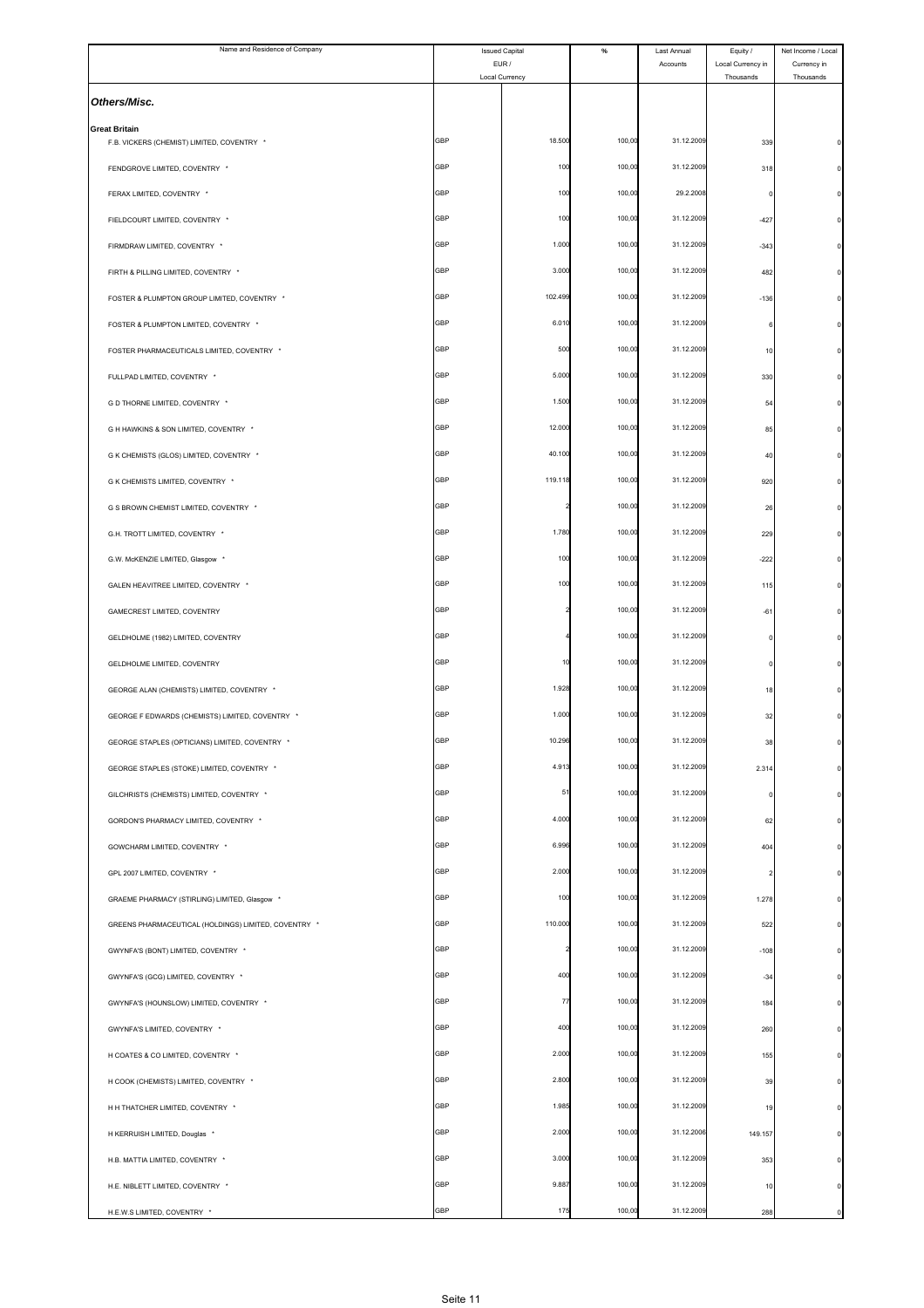| Name and Residence of Company                                      | <b>Issued Capital</b><br>EUR / |                | $\%$   | Last Annual<br>Accounts | Equity /<br>Local Currency in | Net Income / Local<br>Currency in |
|--------------------------------------------------------------------|--------------------------------|----------------|--------|-------------------------|-------------------------------|-----------------------------------|
|                                                                    |                                | Local Currency |        |                         | Thousands                     | Thousands                         |
| Others/Misc.                                                       |                                |                |        |                         |                               |                                   |
| <b>Great Britain</b><br>F.B. VICKERS (CHEMIST) LIMITED, COVENTRY * | GBP                            | 18.500         | 100,00 | 31.12.2009              | 339                           |                                   |
| FENDGROVE LIMITED, COVENTRY *                                      | GBP                            | 100            | 100,00 | 31.12.2009              | 318                           |                                   |
| FERAX LIMITED, COVENTRY *                                          | GBP                            | 100            | 100,00 | 29.2.2008               |                               |                                   |
| FIELDCOURT LIMITED, COVENTRY *                                     | GBP                            | 100            | 100,00 | 31.12.2009              | $-427$                        |                                   |
| FIRMDRAW LIMITED. COVENTRY *                                       | GBP                            | 1.000          | 100,00 | 31.12.2009              | $-343$                        |                                   |
| FIRTH & PILLING LIMITED, COVENTRY *                                | GBP                            | 3.000          | 100,00 | 31.12.2009              | 482                           |                                   |
| FOSTER & PLUMPTON GROUP LIMITED, COVENTRY *                        | GBP                            | 102.499        | 100,00 | 31.12.2009              | $-136$                        |                                   |
| FOSTER & PLUMPTON LIMITED, COVENTRY *                              | GBP                            | 6.010          | 100,00 | 31.12.2009              |                               |                                   |
| FOSTER PHARMACEUTICALS LIMITED, COVENTRY *                         | GBP                            | 500            | 100,00 | 31.12.2009              | 10                            |                                   |
| FULLPAD LIMITED, COVENTRY *                                        | GBP                            | 5.000          | 100,00 | 31.12.2009              | 330                           |                                   |
| G D THORNE LIMITED, COVENTRY *                                     | GBP                            | 1.500          | 100,00 | 31.12.2009              | 54                            |                                   |
| G H HAWKINS & SON LIMITED, COVENTRY *                              | GBP                            | 12.000         | 100,00 | 31.12.2009              | 85                            |                                   |
| G K CHEMISTS (GLOS) LIMITED, COVENTRY *                            | <b>GBP</b>                     | 40.100         | 100,00 | 31.12.2009              | 40                            |                                   |
| G K CHEMISTS LIMITED, COVENTRY *                                   | GBP                            | 119.118        | 100,00 | 31.12.2009              | 920                           |                                   |
| G S BROWN CHEMIST LIMITED, COVENTRY *                              | GBP                            |                | 100,00 | 31.12.2009              | 26                            |                                   |
| G.H. TROTT LIMITED, COVENTRY *                                     | GBP                            | 1.780          | 100,00 | 31.12.2009              | 229                           |                                   |
| G.W. McKENZIE LIMITED, Glasgow *                                   | GBP                            | 100            | 100,00 | 31.12.2009              | $-222$                        |                                   |
| GALEN HEAVITREE LIMITED, COVENTRY *                                | GBP                            | 100            | 100,00 | 31.12.2009              | 115                           |                                   |
| GAMECREST LIMITED, COVENTRY                                        | GBP                            |                | 100,00 | 31.12.2009              | $-61$                         |                                   |
| GELDHOLME (1982) LIMITED, COVENTRY                                 | GBP                            |                | 100,00 | 31.12.2009              |                               |                                   |
| GELDHOLME LIMITED, COVENTRY                                        | GBP                            | 1(             | 100,00 | 31.12.2009              |                               |                                   |
| GEORGE ALAN (CHEMISTS) LIMITED, COVENTRY *                         | GBP                            | 1.928          | 100,00 | 31.12.2009              | 18                            |                                   |
| GEORGE F EDWARDS (CHEMISTS) LIMITED, COVENTRY *                    | <b>GBP</b>                     | 1.000          | 100,00 | 31.12.2009              | 32                            |                                   |
| GEORGE STAPLES (OPTICIANS) LIMITED, COVENTRY *                     | ЭBР                            | 10.29          | 100,00 | 31.12.200               | 38                            |                                   |
| GEORGE STAPLES (STOKE) LIMITED, COVENTRY *                         | GBP                            | 4.913          | 100,00 | 31.12.2009              | 2.314                         |                                   |
| GILCHRISTS (CHEMISTS) LIMITED, COVENTRY *                          | GBP                            | 51             | 100,00 | 31.12.2009              | 0                             |                                   |
| GORDON'S PHARMACY LIMITED, COVENTRY *                              | GBP                            | 4.000          | 100,00 | 31.12.2009              | 62                            |                                   |
| GOWCHARM LIMITED, COVENTRY *                                       | <b>GBP</b>                     | 6.996          | 100,00 | 31.12.2009              | 404                           |                                   |
| GPL 2007 LIMITED, COVENTRY *                                       | GBP                            | 2.000          | 100,00 | 31.12.2009              | $\overline{2}$                |                                   |
| GRAEME PHARMACY (STIRLING) LIMITED, Glasgow *                      | GBP                            | 100            | 100,00 | 31.12.2009              | 1.278                         |                                   |
| GREENS PHARMACEUTICAL (HOLDINGS) LIMITED, COVENTRY *               | <b>GBP</b>                     | 110.000        | 100,00 | 31.12.2009              | 522                           |                                   |
| GWYNFA'S (BONT) LIMITED, COVENTRY *                                | GBP                            |                | 100,00 | 31.12.2009              | $-108$                        |                                   |
| GWYNFA'S (GCG) LIMITED, COVENTRY *                                 | <b>GBP</b>                     | 400            | 100,00 | 31.12.2009              | $-34$                         |                                   |
| GWYNFA'S (HOUNSLOW) LIMITED, COVENTRY *                            | GBP                            | 77             | 100,00 | 31.12.2009              | 184                           |                                   |
| GWYNFA'S LIMITED, COVENTRY *                                       | GBP                            | 400            | 100,00 | 31.12.2009              | 260                           |                                   |
| H COATES & CO LIMITED, COVENTRY *                                  | GBP                            | 2.000          | 100,00 | 31.12.2009              | 155                           |                                   |
| H COOK (CHEMISTS) LIMITED, COVENTRY *                              | GBP                            | 2.800          | 100,00 | 31.12.2009              | 39                            |                                   |
| H H THATCHER LIMITED, COVENTRY *                                   | <b>GBP</b>                     | 1.985          | 100,00 | 31.12.2009              | 19                            |                                   |
| H KERRUISH LIMITED, Douglas *                                      | GBP                            | 2.000          | 100,00 | 31.12.2006              | 149.157                       |                                   |
| H.B. MATTIA LIMITED, COVENTRY *                                    | GBP                            | 3.000          | 100,00 | 31.12.2009              | 353                           |                                   |
| H.E. NIBLETT LIMITED, COVENTRY *                                   | <b>GBP</b>                     | 9.887          | 100,00 | 31.12.2009              | 10                            |                                   |
| H.E.W.S LIMITED, COVENTRY *                                        | GBP                            | 175            | 100,00 | 31.12.2009              | 288                           |                                   |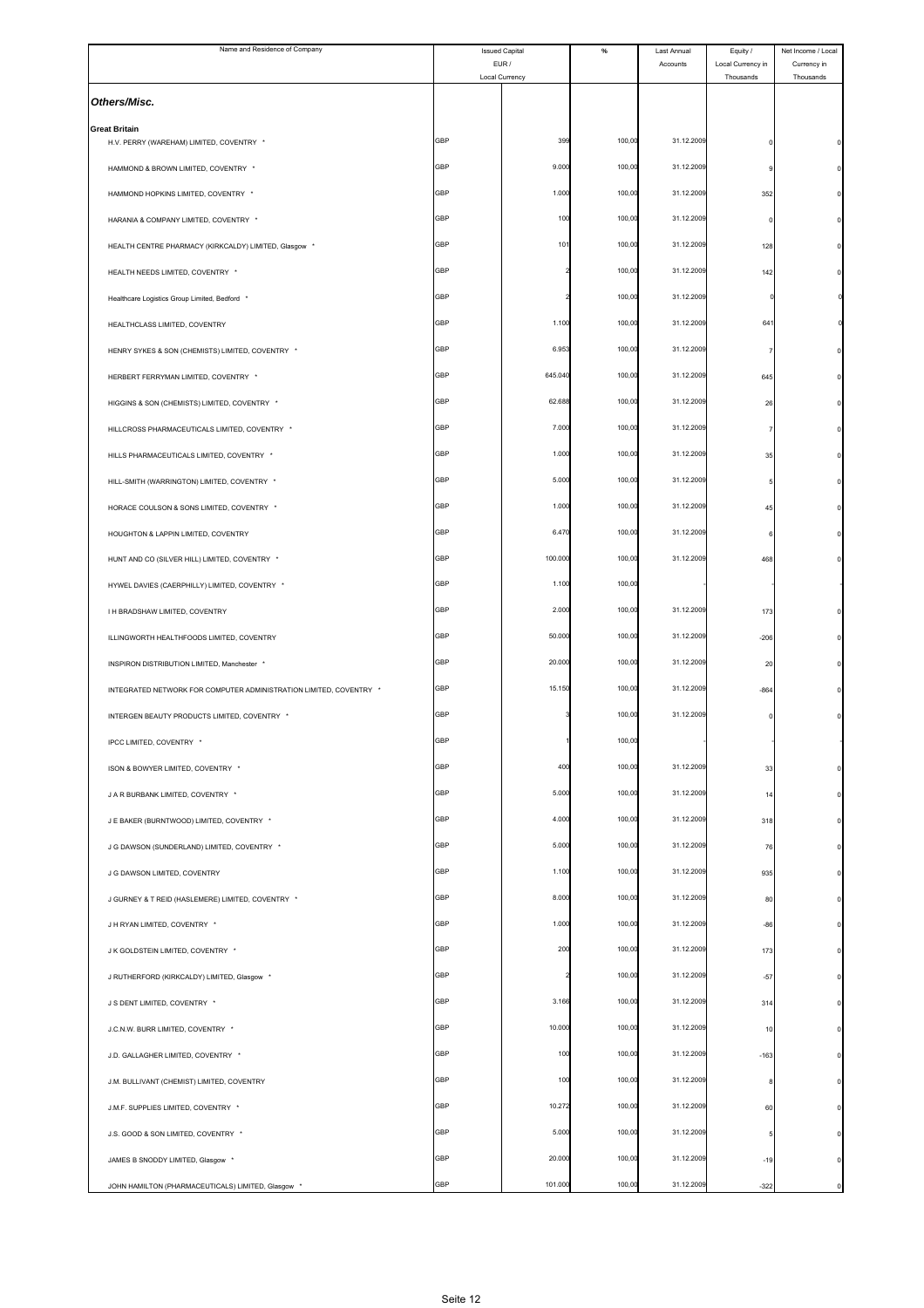| Name and Residence of Company                                      | <b>Issued Capital</b> |                         | $\%$   | Last Annual | Equity /                       | Net Income / Local       |
|--------------------------------------------------------------------|-----------------------|-------------------------|--------|-------------|--------------------------------|--------------------------|
|                                                                    |                       | EUR /<br>Local Currency |        | Accounts    | Local Currency in<br>Thousands | Currency in<br>Thousands |
| Others/Misc.                                                       |                       |                         |        |             |                                |                          |
| <b>Great Britain</b><br>H.V. PERRY (WAREHAM) LIMITED, COVENTRY *   | GBP                   | 399                     | 100,00 | 31.12.2009  |                                |                          |
| HAMMOND & BROWN LIMITED, COVENTRY *                                | GBP                   | 9.000                   | 100,00 | 31.12.2009  |                                |                          |
| HAMMOND HOPKINS LIMITED, COVENTRY *                                | GBP                   | 1.000                   | 100,00 | 31.12.2009  | 352                            |                          |
| HARANIA & COMPANY LIMITED, COVENTRY *                              | GBP                   | 100                     | 100,00 | 31.12.2009  | C                              |                          |
| HEALTH CENTRE PHARMACY (KIRKCALDY) LIMITED, Glasgow *              | GBP                   | 101                     | 100,00 | 31.12.2009  | 128                            |                          |
| HEALTH NEEDS LIMITED, COVENTRY *                                   | GBP                   |                         | 100,00 | 31.12.2009  | 142                            |                          |
| Healthcare Logistics Group Limited, Bedford                        | GBP                   |                         | 100,00 | 31.12.2009  |                                |                          |
| HEALTHCLASS LIMITED, COVENTRY                                      | GBP                   | 1.100                   | 100,00 | 31.12.2009  | 64                             |                          |
| HENRY SYKES & SON (CHEMISTS) LIMITED, COVENTRY *                   | GBP                   | 6.953                   | 100,00 | 31.12.2009  |                                |                          |
| HERBERT FERRYMAN LIMITED, COVENTRY *                               | GBP                   | 645.040                 | 100,00 | 31.12.2009  | 645                            |                          |
| HIGGINS & SON (CHEMISTS) LIMITED, COVENTRY *                       | GBP                   | 62.688                  | 100,00 | 31.12.2009  | 26                             |                          |
| HILLCROSS PHARMACEUTICALS LIMITED, COVENTRY *                      | GBP                   | 7.000                   | 100,00 | 31.12.2009  |                                |                          |
| HILLS PHARMACEUTICALS LIMITED, COVENTRY *                          | GBP                   | 1.000                   | 100,00 | 31.12.2009  | 35                             |                          |
| HILL-SMITH (WARRINGTON) LIMITED, COVENTRY *                        | GBP                   | 5.000                   | 100,00 | 31.12.2009  |                                |                          |
| HORACE COULSON & SONS LIMITED, COVENTRY *                          | GBP                   | 1.000                   | 100,00 | 31.12.2009  | 45                             |                          |
| HOUGHTON & LAPPIN LIMITED, COVENTRY                                | GBP                   | 6.470                   | 100,00 | 31.12.2009  |                                |                          |
| HUNT AND CO (SILVER HILL) LIMITED, COVENTRY *                      | GBP                   | 100.000                 | 100,00 | 31.12.2009  | 468                            |                          |
| HYWEL DAVIES (CAERPHILLY) LIMITED, COVENTRY *                      | GBP                   | 1.100                   | 100,00 |             |                                |                          |
| I H BRADSHAW LIMITED, COVENTRY                                     | GBP                   | 2.000                   | 100,00 | 31.12.2009  | 173                            |                          |
| ILLINGWORTH HEALTHFOODS LIMITED, COVENTRY                          | GBP                   | 50.000                  | 100,00 | 31.12.2009  | $-206$                         |                          |
| INSPIRON DISTRIBUTION LIMITED, Manchester *                        | GBP                   | 20.000                  | 100,00 | 31.12.2009  | 20                             |                          |
| INTEGRATED NETWORK FOR COMPUTER ADMINISTRATION LIMITED, COVENTRY * | GBP                   | 15.150                  | 100,00 | 31.12.2009  | $-864$                         |                          |
| INTERGEN BEAUTY PRODUCTS LIMITED, COVENTRY *                       | GBP                   |                         | 100,00 | 31.12.2009  |                                |                          |
|                                                                    | GBP                   |                         | 100,00 |             |                                |                          |
| IPCC LIMITED, COVENTRY *                                           | GBP                   | 400                     | 100,00 | 31.12.2009  |                                |                          |
| ISON & BOWYER LIMITED, COVENTRY *                                  | GBP                   | 5.000                   | 100,00 | 31.12.2009  | 33                             |                          |
| J A R BURBANK LIMITED, COVENTRY *                                  | GBP                   | 4.000                   | 100,00 | 31.12.2009  | 14                             |                          |
| J E BAKER (BURNTWOOD) LIMITED, COVENTRY *                          |                       |                         |        |             | 318                            |                          |
| J G DAWSON (SUNDERLAND) LIMITED, COVENTRY *                        | <b>GBP</b>            | 5.000                   | 100,00 | 31.12.2009  | 76                             |                          |
| J G DAWSON LIMITED, COVENTRY                                       | GBP                   | 1.100                   | 100,00 | 31.12.2009  | 935                            |                          |
| J GURNEY & T REID (HASLEMERE) LIMITED, COVENTRY *                  | GBP                   | 8.000                   | 100,00 | 31.12.2009  | 80                             |                          |
| J H RYAN LIMITED, COVENTRY *                                       | GBP<br>GBP            | 1.000                   | 100,00 | 31.12.2009  | $-86$                          |                          |
| J K GOLDSTEIN LIMITED, COVENTRY *                                  |                       | 200                     | 100,00 | 31.12.2009  | 173                            |                          |
| J RUTHERFORD (KIRKCALDY) LIMITED, Glasgow *                        | <b>GBP</b>            |                         | 100,00 | 31.12.2009  | $-57$                          |                          |
| J S DENT LIMITED, COVENTRY *                                       | GBP                   | 3.166                   | 100,00 | 31.12.2009  | 314                            |                          |
| J.C.N.W. BURR LIMITED, COVENTRY *                                  | GBP                   | 10.000                  | 100,00 | 31.12.2009  | 10                             |                          |
| J.D. GALLAGHER LIMITED, COVENTRY *                                 | GBP                   | 100                     | 100,00 | 31.12.2009  | $-163$                         |                          |
| J.M. BULLIVANT (CHEMIST) LIMITED, COVENTRY                         | GBP                   | 100                     | 100,00 | 31.12.2009  | 8                              |                          |
| J.M.F. SUPPLIES LIMITED, COVENTRY *                                | GBP                   | 10.272                  | 100,00 | 31.12.2009  | 60                             |                          |
| J.S. GOOD & SON LIMITED, COVENTRY *                                | GBP                   | 5.000                   | 100,00 | 31.12.2009  |                                |                          |
| JAMES B SNODDY LIMITED, Glasgow *                                  | GBP                   | 20.000                  | 100,00 | 31.12.2009  | $-19$                          |                          |
| JOHN HAMILTON (PHARMACEUTICALS) LIMITED, Glasgow *                 | GBP                   | 101.000                 | 100,00 | 31.12.2009  | $-322$                         |                          |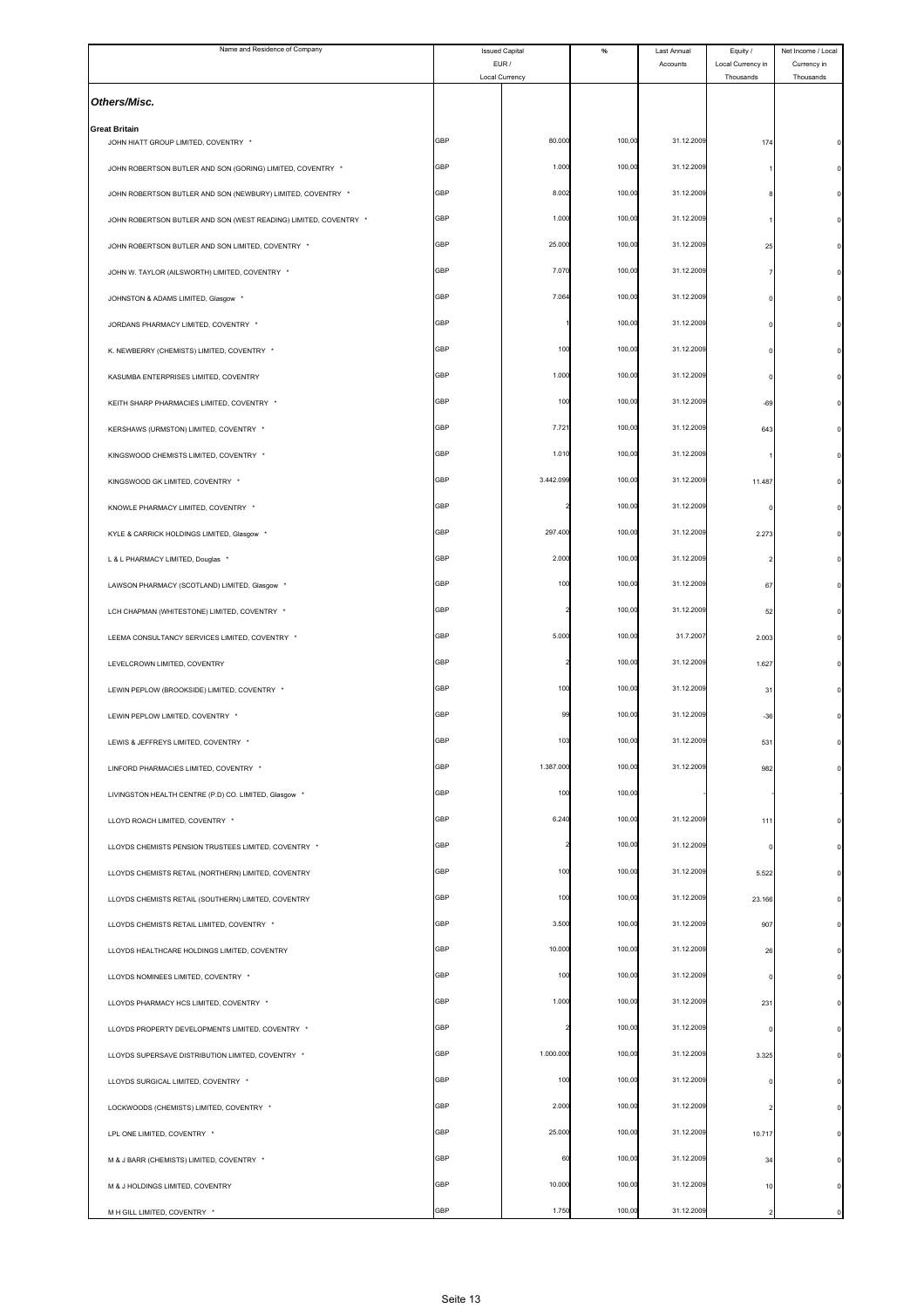| Name and Residence of Company                                                                               | <b>Issued Capital</b>   |           | $\%$   | Last Annual | Equity /                       | Net Income / Local       |
|-------------------------------------------------------------------------------------------------------------|-------------------------|-----------|--------|-------------|--------------------------------|--------------------------|
|                                                                                                             | EUR /<br>Local Currency |           |        | Accounts    | Local Currency in<br>Thousands | Currency in<br>Thousands |
| Others/Misc.                                                                                                |                         |           |        |             |                                |                          |
| <b>Great Britain</b><br>JOHN HIATT GROUP LIMITED, COVENTRY *                                                | GBP                     | 80.000    | 100,00 | 31.12.2009  | 174                            |                          |
| JOHN ROBERTSON BUTLER AND SON (GORING) LIMITED, COVENTRY *                                                  | GBP                     | 1.000     | 100,00 | 31.12.2009  |                                |                          |
| JOHN ROBERTSON BUTLER AND SON (NEWBURY) LIMITED, COVENTRY *                                                 | GBP                     | 8.002     | 100,00 | 31.12.2009  |                                |                          |
| JOHN ROBERTSON BUTLER AND SON (WEST READING) LIMITED, COVENTRY *                                            | GBP                     | 1.000     | 100,00 | 31.12.2009  |                                |                          |
| JOHN ROBERTSON BUTLER AND SON LIMITED, COVENTRY *                                                           | GBP                     | 25.000    | 100,00 | 31.12.2009  | 25                             |                          |
| JOHN W. TAYLOR (AILSWORTH) LIMITED, COVENTRY *                                                              | GBP                     | 7.070     | 100,00 | 31.12.2009  |                                |                          |
| JOHNSTON & ADAMS LIMITED, Glasgow *                                                                         | GBP                     | 7.064     | 100,00 | 31.12.2009  |                                |                          |
| JORDANS PHARMACY LIMITED, COVENTRY *                                                                        | GBP                     |           | 100,00 | 31.12.2009  |                                |                          |
| K. NEWBERRY (CHEMISTS) LIMITED, COVENTRY *                                                                  | GBP                     | 100       | 100,00 | 31.12.2009  |                                |                          |
| KASUMBA ENTERPRISES LIMITED, COVENTRY                                                                       | GBP                     | 1.000     | 100,00 | 31.12.2009  |                                |                          |
| KEITH SHARP PHARMACIES LIMITED, COVENTRY *                                                                  | GBP                     | 100       | 100,00 | 31.12.2009  | $-69$                          |                          |
| KERSHAWS (URMSTON) LIMITED, COVENTRY *                                                                      | GBP                     | 7.721     | 100,00 | 31.12.2009  | 643                            |                          |
| KINGSWOOD CHEMISTS LIMITED, COVENTRY *                                                                      | GBP                     | 1.010     | 100,00 | 31.12.2009  |                                |                          |
| KINGSWOOD GK LIMITED, COVENTRY *                                                                            | GBP                     | 3.442.099 | 100,00 | 31.12.2009  | 11.487                         |                          |
| KNOWLE PHARMACY LIMITED, COVENTRY *                                                                         | GBP                     |           | 100,00 | 31.12.2009  |                                |                          |
| KYLE & CARRICK HOLDINGS LIMITED, Glasgow *                                                                  | GBP                     | 297.400   | 100,00 | 31.12.2009  | 2.273                          |                          |
| L & L PHARMACY LIMITED, Douglas *                                                                           | GBP                     | 2.000     | 100,00 | 31.12.2009  | 2                              |                          |
| LAWSON PHARMACY (SCOTLAND) LIMITED, Glasgow *                                                               | GBP                     | 100       | 100,00 | 31.12.2009  | 67                             |                          |
| LCH CHAPMAN (WHITESTONE) LIMITED, COVENTRY *                                                                | GBP                     |           | 100,00 | 31.12.2009  | 52                             |                          |
| LEEMA CONSULTANCY SERVICES LIMITED, COVENTRY *                                                              | GBP                     | 5.000     | 100,00 | 31.7.2007   | 2.003                          |                          |
| LEVELCROWN LIMITED, COVENTRY                                                                                | GBP                     |           | 100,00 | 31.12.2009  | 1.627                          |                          |
| LEWIN PEPLOW (BROOKSIDE) LIMITED, COVENTRY *                                                                | GBP                     | 100       | 100,00 | 31.12.2009  | 31                             |                          |
|                                                                                                             | GBP                     | 99        | 100,00 | 31.12.2009  |                                |                          |
| LEWIN PEPLOW LIMITED, COVENTRY *                                                                            | ЭBР                     | 10:       | 100,0  | 31.12.200   | $-36$                          |                          |
| LEWIS & JEFFREYS LIMITED, COVENTRY *<br>LINFORD PHARMACIES LIMITED, COVENTRY *                              | GBP                     | 1.387.000 | 100,00 | 31.12.2009  | 53                             |                          |
|                                                                                                             | GBP                     | 100       | 100,00 |             | 982                            |                          |
| LIVINGSTON HEALTH CENTRE (P.D) CO. LIMITED, Glasgow *                                                       | GBP                     | 6.240     | 100,00 | 31.12.2009  |                                |                          |
| LLOYD ROACH LIMITED, COVENTRY *                                                                             | GBP                     |           | 100,00 | 31.12.2009  | 111                            |                          |
| LLOYDS CHEMISTS PENSION TRUSTEES LIMITED, COVENTRY *<br>LLOYDS CHEMISTS RETAIL (NORTHERN) LIMITED, COVENTRY | GBP                     | 100       | 100,00 | 31.12.2009  | $\mathbf 0$<br>5.522           |                          |
| LLOYDS CHEMISTS RETAIL (SOUTHERN) LIMITED, COVENTRY                                                         | GBP                     | 100       | 100,00 | 31.12.2009  | 23.166                         |                          |
| LLOYDS CHEMISTS RETAIL LIMITED, COVENTRY *                                                                  | GBP                     | 3.500     | 100,00 | 31.12.2009  | 907                            |                          |
|                                                                                                             | GBP                     | 10.000    | 100,00 | 31.12.2009  |                                |                          |
| LLOYDS HEALTHCARE HOLDINGS LIMITED, COVENTRY<br>LLOYDS NOMINEES LIMITED, COVENTRY *                         | GBP                     | 100       | 100,00 | 31.12.2009  | 26                             |                          |
| LLOYDS PHARMACY HCS LIMITED, COVENTRY *                                                                     | GBP                     | 1.000     | 100,00 | 31.12.2009  | 231                            |                          |
| LLOYDS PROPERTY DEVELOPMENTS LIMITED, COVENTRY *                                                            | GBP                     |           | 100,00 | 31.12.2009  | $\mathbf 0$                    |                          |
| LLOYDS SUPERSAVE DISTRIBUTION LIMITED, COVENTRY *                                                           | GBP                     | 1.000.000 | 100,00 | 31.12.2009  | 3.325                          |                          |
|                                                                                                             | GBP                     | 100       | 100,00 | 31.12.2009  | $\circ$                        |                          |
| LLOYDS SURGICAL LIMITED, COVENTRY *<br>LOCKWOODS (CHEMISTS) LIMITED, COVENTRY *                             | GBP                     | 2.000     | 100,00 | 31.12.2009  |                                |                          |
| LPL ONE LIMITED, COVENTRY *                                                                                 | GBP                     | 25.000    | 100,00 | 31.12.2009  | 10.717                         |                          |
| M & J BARR (CHEMISTS) LIMITED, COVENTRY *                                                                   | GBP                     | 60        | 100,00 | 31.12.2009  | 34                             |                          |
| M & J HOLDINGS LIMITED, COVENTRY                                                                            | GBP                     | 10.000    | 100,00 | 31.12.2009  | 10                             |                          |
| M H GILL LIMITED, COVENTRY *                                                                                | GBP                     | 1.750     | 100,00 | 31.12.2009  |                                |                          |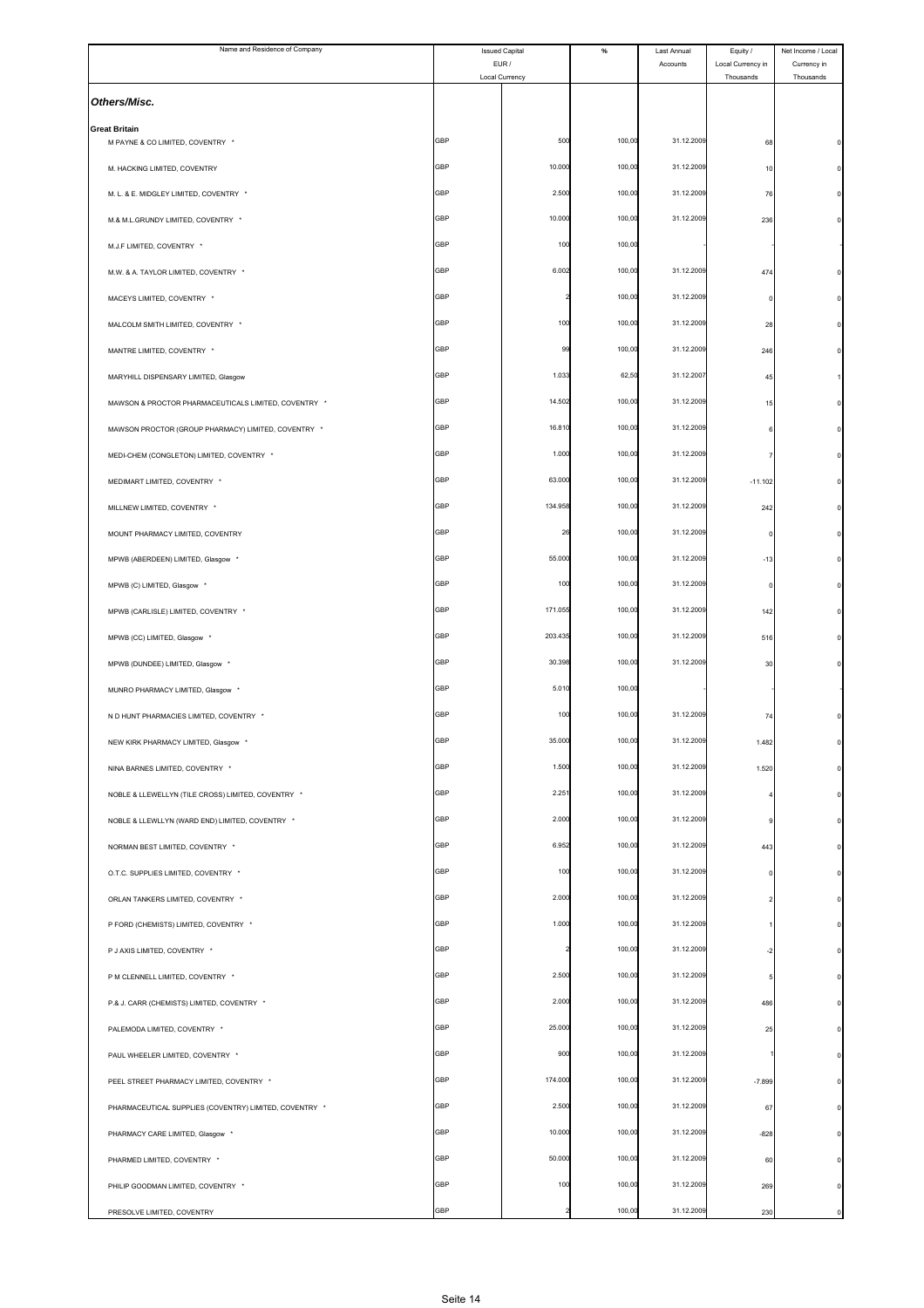| Name and Residence of Company                            | <b>Issued Capital</b><br>EUR/ |         | $\%$   | Last Annual<br>Accounts | Equity /<br>Local Currency in | Net Income / Local       |
|----------------------------------------------------------|-------------------------------|---------|--------|-------------------------|-------------------------------|--------------------------|
|                                                          | Local Currency                |         |        |                         | Thousands                     | Currency in<br>Thousands |
| Others/Misc.                                             |                               |         |        |                         |                               |                          |
| <b>Great Britain</b><br>M PAYNE & CO LIMITED, COVENTRY * | <b>GBP</b>                    | 500     | 100,00 | 31.12.2009              | 68                            |                          |
| M. HACKING LIMITED, COVENTRY                             | GBP                           | 10.000  | 100,00 | 31.12.2009              | 10                            |                          |
| M. L. & E. MIDGLEY LIMITED, COVENTRY *                   | <b>GBP</b>                    | 2.500   | 100,00 | 31.12.2009              | 76                            |                          |
| M.& M.L.GRUNDY LIMITED, COVENTRY *                       | GBP                           | 10.000  | 100,00 | 31.12.2009              | 236                           |                          |
| M.J.F LIMITED, COVENTRY *                                | GBP                           | 100     | 100,00 |                         |                               |                          |
| M.W. & A. TAYLOR LIMITED, COVENTRY *                     | <b>GBP</b>                    | 6.002   | 100,00 | 31.12.2009              | 474                           |                          |
| MACEYS LIMITED, COVENTRY *                               | GBP                           |         | 100,00 | 31.12.2009              | $\mathbf 0$                   |                          |
| MALCOLM SMITH LIMITED, COVENTRY *                        | GBP                           | 100     | 100,00 | 31.12.2009              | 28                            |                          |
| MANTRE LIMITED, COVENTRY *                               | GBP                           | 99      | 100,00 | 31.12.2009              | 246                           |                          |
| MARYHILL DISPENSARY LIMITED, Glasgow                     | GBP                           | 1.033   | 62,50  | 31.12.2007              | 45                            |                          |
| MAWSON & PROCTOR PHARMACEUTICALS LIMITED, COVENTRY *     | <b>GBP</b>                    | 14.502  | 100,00 | 31.12.2009              | 15                            |                          |
| MAWSON PROCTOR (GROUP PHARMACY) LIMITED, COVENTRY *      | <b>GBP</b>                    | 16.810  | 100,00 | 31.12.2009              |                               |                          |
| MEDI-CHEM (CONGLETON) LIMITED, COVENTRY *                | <b>GBP</b>                    | 1.000   | 100,00 | 31.12.2009              |                               |                          |
| MEDIMART LIMITED, COVENTRY *                             | GBP                           | 63.000  | 100,00 | 31.12.2009              | $-11.102$                     |                          |
| MILLNEW LIMITED, COVENTRY *                              | GBP                           | 134.958 | 100,00 | 31.12.2009              | 242                           |                          |
| MOUNT PHARMACY LIMITED, COVENTRY                         | <b>GBP</b>                    | 26      | 100,00 | 31.12.2009              |                               |                          |
| MPWB (ABERDEEN) LIMITED, Glasgow *                       | GBP                           | 55.000  | 100,00 | 31.12.2009              | $-13$                         |                          |
| MPWB (C) LIMITED, Glasgow *                              | GBP                           | 100     | 100,00 | 31.12.2009              | $\Omega$                      |                          |
| MPWB (CARLISLE) LIMITED, COVENTRY *                      | GBP                           | 171.055 | 100,00 | 31.12.2009              | 142                           |                          |
| MPWB (CC) LIMITED, Glasgow *                             | GBP                           | 203.435 | 100,00 | 31.12.2009              | 516                           |                          |
| MPWB (DUNDEE) LIMITED, Glasgow *                         | <b>GBP</b>                    | 30.398  | 100,00 | 31.12.2009              | 30                            |                          |
| MUNRO PHARMACY LIMITED, Glasgow '                        | GBP                           | 5.010   | 100,00 |                         |                               |                          |
| N D HUNT PHARMACIES LIMITED, COVENTRY *                  | GBP                           | 100     | 100,00 | 31.12.2009              | 7 <sup>i</sup>                |                          |
| NEW KIRK PHARMACY LIMITED, Glasgow                       | GBP                           | 35.00   | 100,00 | 31.12.2009              | 1.482                         |                          |
| NINA BARNES LIMITED, COVENTRY *                          | GBP                           | 1.500   | 100,00 | 31.12.2009              | 1.520                         |                          |
| NOBLE & LLEWELLYN (TILE CROSS) LIMITED, COVENTRY *       | <b>GBP</b>                    | 2.251   | 100,00 | 31.12.2009              |                               |                          |
| NOBLE & LLEWLLYN (WARD END) LIMITED, COVENTRY *          | <b>GBP</b>                    | 2.000   | 100,00 | 31.12.2009              | 9                             |                          |
| NORMAN BEST LIMITED, COVENTRY *                          | <b>GBP</b>                    | 6.952   | 100,00 | 31.12.2009              | 443                           |                          |
| O.T.C. SUPPLIES LIMITED, COVENTRY *                      | GBP                           | 100     | 100,00 | 31.12.2009              | $\Omega$                      |                          |
| ORLAN TANKERS LIMITED, COVENTRY *                        | GBP                           | 2.000   | 100,00 | 31.12.2009              |                               |                          |
| P FORD (CHEMISTS) LIMITED, COVENTRY *                    | <b>GBP</b>                    | 1.000   | 100,00 | 31.12.2009              |                               |                          |
| P J AXIS LIMITED, COVENTRY *                             | <b>GBP</b>                    |         | 100,00 | 31.12.2009              | $-2$                          |                          |
| P M CLENNELL LIMITED, COVENTRY *                         | <b>GBP</b>                    | 2.500   | 100,00 | 31.12.2009              | 5                             |                          |
| P.& J. CARR (CHEMISTS) LIMITED, COVENTRY *               | GBP                           | 2.000   | 100,00 | 31.12.2009              | 486                           |                          |
| PALEMODA LIMITED, COVENTRY *                             | GBP                           | 25.000  | 100,00 | 31.12.2009              | 25                            |                          |
| PAUL WHEELER LIMITED, COVENTRY *                         | <b>GBP</b>                    | 900     | 100,00 | 31.12.2009              |                               |                          |
| PEEL STREET PHARMACY LIMITED, COVENTRY *                 | <b>GBP</b>                    | 174.000 | 100,00 | 31.12.2009              | $-7.899$                      |                          |
| PHARMACEUTICAL SUPPLIES (COVENTRY) LIMITED, COVENTRY *   | <b>GBP</b>                    | 2.500   | 100,00 | 31.12.2009              | 67                            |                          |
| PHARMACY CARE LIMITED, Glasgow *                         | GBP                           | 10.000  | 100,00 | 31.12.2009              | $-828$                        |                          |
| PHARMED LIMITED, COVENTRY *                              | GBP                           | 50.000  | 100,00 | 31.12.2009              | 60                            |                          |
| PHILIP GOODMAN LIMITED, COVENTRY *                       | <b>GBP</b>                    | 100     | 100,00 | 31.12.2009              | 269                           |                          |
| PRESOLVE LIMITED, COVENTRY                               | GBP                           |         | 100,00 | 31.12.2009              | 230                           | $\Omega$                 |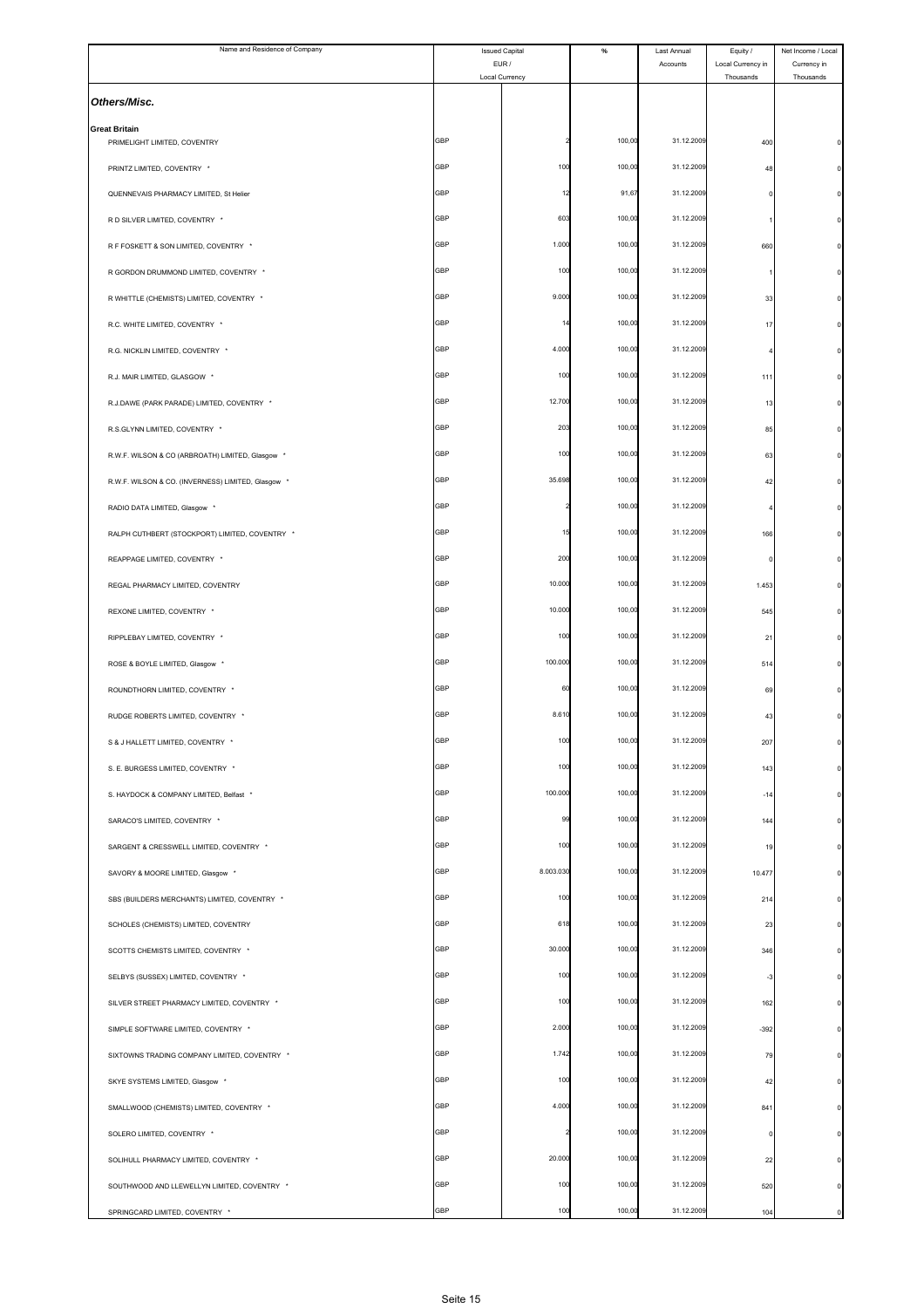| Name and Residence of Company                        |                         | <b>Issued Capital</b> | $\%$   | Last Annual | Equity /                       | Net Income / Local       |
|------------------------------------------------------|-------------------------|-----------------------|--------|-------------|--------------------------------|--------------------------|
|                                                      | EUR /<br>Local Currency |                       |        | Accounts    | Local Currency in<br>Thousands | Currency in<br>Thousands |
| Others/Misc.                                         |                         |                       |        |             |                                |                          |
| <b>Great Britain</b><br>PRIMELIGHT LIMITED, COVENTRY | <b>GBP</b>              |                       | 100,00 | 31.12.2009  | 400                            |                          |
| PRINTZ LIMITED, COVENTRY *                           | GBP                     | 100                   | 100,0  | 31.12.2009  | 48                             |                          |
| QUENNEVAIS PHARMACY LIMITED, St Helier               | GBP                     | 12                    | 91,67  | 31.12.2009  | 0                              |                          |
| R D SILVER LIMITED, COVENTRY *                       | GBP                     | 603                   | 100,00 | 31.12.2009  |                                |                          |
| R F FOSKETT & SON LIMITED, COVENTRY *                | GBP                     | 1.000                 | 100,00 | 31.12.2009  | 660                            |                          |
|                                                      | <b>GBP</b>              | 100                   | 100,00 | 31.12.2009  |                                |                          |
| R GORDON DRUMMOND LIMITED, COVENTRY *                | GBP                     | 9.000                 | 100,00 | 31.12.2009  |                                |                          |
| R WHITTLE (CHEMISTS) LIMITED, COVENTRY *             |                         |                       |        |             | 33                             |                          |
| R.C. WHITE LIMITED, COVENTRY *                       | GBP                     |                       | 100,00 | 31.12.2009  | 17                             |                          |
| R.G. NICKLIN LIMITED, COVENTRY *                     | GBP                     | 4.000                 | 100,00 | 31.12.2009  |                                |                          |
| R.J. MAIR LIMITED, GLASGOW *                         | GBP                     | 100                   | 100,00 | 31.12.2009  | 111                            |                          |
| R.J.DAWE (PARK PARADE) LIMITED, COVENTRY *           | <b>GBP</b>              | 12.700                | 100,00 | 31.12.2009  | 13                             |                          |
| R.S.GLYNN LIMITED, COVENTRY *                        | GBP                     | 203                   | 100,0  | 31.12.2009  | 85                             |                          |
| R.W.F. WILSON & CO (ARBROATH) LIMITED, Glasgow *     | GBP                     | 100                   | 100,00 | 31.12.2009  | 63                             |                          |
| R.W.F. WILSON & CO. (INVERNESS) LIMITED, Glasgow *   | GBP                     | 35.698                | 100,00 | 31.12.2009  | 42                             |                          |
| RADIO DATA LIMITED, Glasgow *                        | GBP                     |                       | 100,00 | 31.12.2009  |                                |                          |
| RALPH CUTHBERT (STOCKPORT) LIMITED, COVENTRY *       | <b>GBP</b>              | 15                    | 100,00 | 31.12.2009  | 166                            |                          |
| REAPPAGE LIMITED, COVENTRY *                         | GBP                     | 200                   | 100,00 | 31.12.2009  | $\Omega$                       |                          |
| REGAL PHARMACY LIMITED, COVENTRY                     | GBP                     | 10.000                | 100,00 | 31.12.2009  | 1.453                          |                          |
| REXONE LIMITED, COVENTRY *                           | GBP                     | 10.000                | 100,00 | 31.12.2009  | 545                            |                          |
| RIPPLEBAY LIMITED, COVENTRY *                        | GBP                     | 100                   | 100,0  | 31.12.2009  | 21                             |                          |
| ROSE & BOYLE LIMITED, Glasgow *                      | <b>GBP</b>              | 100.000               | 100,00 | 31.12.2009  | 514                            |                          |
| ROUNDTHORN LIMITED, COVENTRY *                       | GBP                     | 60                    | 100,0  | 31.12.2009  | 69                             |                          |
| RUDGE ROBERTS LIMITED, COVENTRY *                    | GBP                     | 8.610                 | 100,00 | 31.12.2009  | 43                             |                          |
|                                                      | GBP                     | 10                    | 100,00 | 31.12.2009  | 207                            |                          |
| S & J HALLETT LIMITED, COVENTRY *                    | GBP                     | 100                   | 100,00 | 31.12.2009  |                                |                          |
| S. E. BURGESS LIMITED, COVENTRY *                    |                         |                       |        |             | 143                            |                          |
| S. HAYDOCK & COMPANY LIMITED, Belfast *              | <b>GBP</b>              | 100.000               | 100,00 | 31.12.2009  | $-14$                          |                          |
| SARACO'S LIMITED, COVENTRY *                         | GBP                     | 99                    | 100,00 | 31.12.2009  | 144                            |                          |
| SARGENT & CRESSWELL LIMITED. COVENTRY *              | <b>GBP</b>              | 100                   | 100,00 | 31.12.2009  | 19                             |                          |
| SAVORY & MOORE LIMITED, Glasgow *                    | GBP                     | 8.003.030             | 100,00 | 31.12.2009  | 10.477                         |                          |
| SBS (BUILDERS MERCHANTS) LIMITED, COVENTRY *         | GBP                     | 100                   | 100,00 | 31.12.2009  | 214                            |                          |
| SCHOLES (CHEMISTS) LIMITED, COVENTRY                 | <b>GBP</b>              | 618                   | 100,00 | 31.12.2009  | 23                             |                          |
| SCOTTS CHEMISTS LIMITED, COVENTRY *                  | GBP                     | 30.000                | 100,00 | 31.12.2009  | 346                            |                          |
| SELBYS (SUSSEX) LIMITED, COVENTRY *                  | <b>GBP</b>              | 100                   | 100,00 | 31.12.2009  | $-3$                           |                          |
| SILVER STREET PHARMACY LIMITED, COVENTRY *           | GBP                     | 100                   | 100,00 | 31.12.2009  | 162                            |                          |
| SIMPLE SOFTWARE LIMITED, COVENTRY *                  | GBP                     | 2.000                 | 100,00 | 31.12.2009  | $-392$                         |                          |
| SIXTOWNS TRADING COMPANY LIMITED, COVENTRY *         | <b>GBP</b>              | 1.742                 | 100,00 | 31.12.2009  | 79                             |                          |
| SKYE SYSTEMS LIMITED, Glasgow *                      | GBP                     | 100                   | 100,00 | 31.12.2009  | 42                             |                          |
| SMALLWOOD (CHEMISTS) LIMITED, COVENTRY *             | <b>GBP</b>              | 4.000                 | 100,00 | 31.12.2009  | 841                            |                          |
| SOLERO LIMITED, COVENTRY *                           | GBP                     |                       | 100,00 | 31.12.2009  | 0                              |                          |
| SOLIHULL PHARMACY LIMITED, COVENTRY *                | GBP                     | 20.000                | 100,00 | 31.12.2009  | 22                             |                          |
| SOUTHWOOD AND LLEWELLYN LIMITED, COVENTRY *          | <b>GBP</b>              | 100                   | 100,00 | 31.12.2009  | 520                            |                          |
| SPRINGCARD LIMITED, COVENTRY *                       | GBP                     | 100                   | 100,00 | 31.12.2009  | 104                            | $\Omega$                 |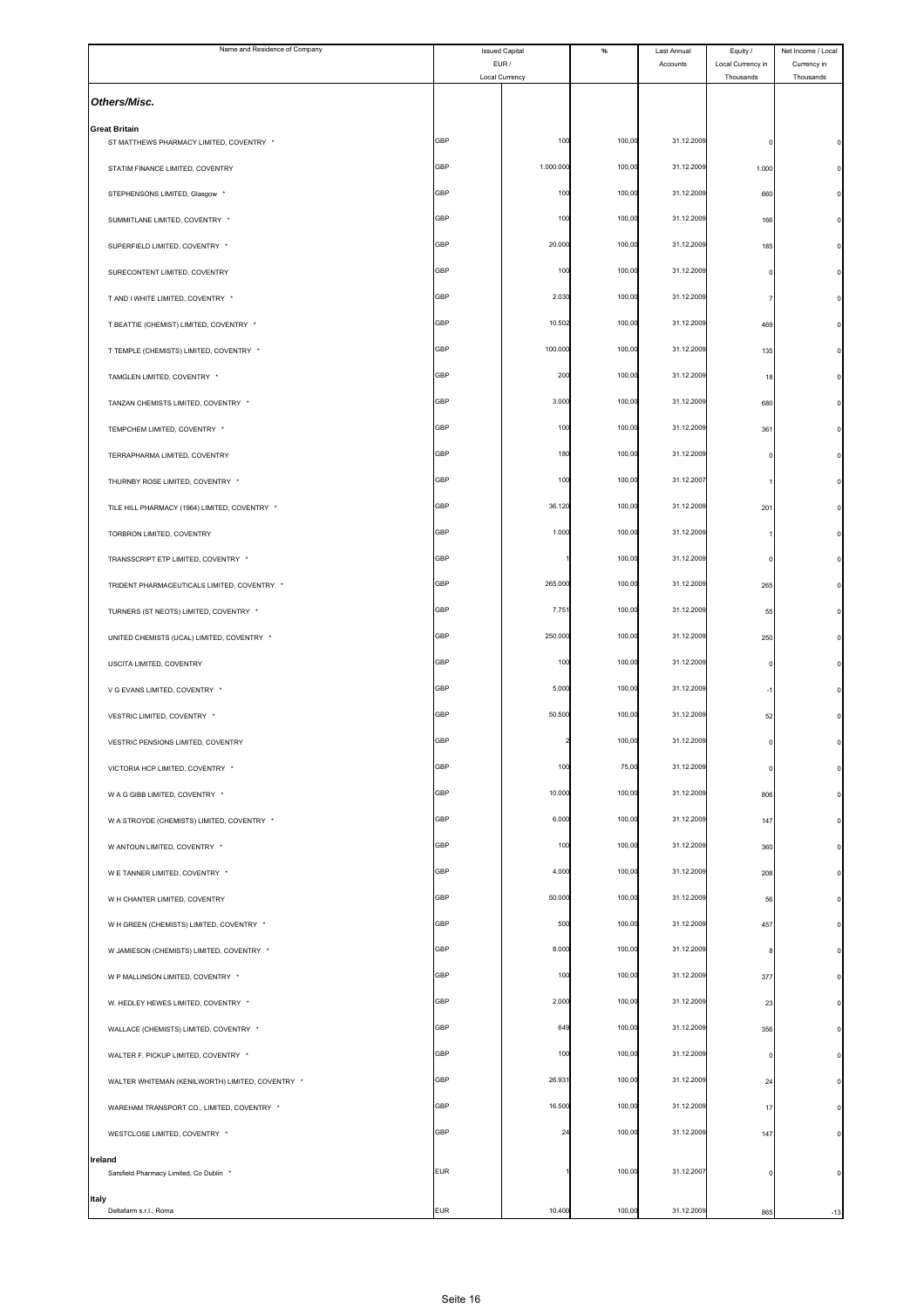| Name and Residence of Company                                    | <b>Issued Capital</b><br>EUR/ |                | $\%$   | Last Annual | Equity /                       | Net Income / Local       |
|------------------------------------------------------------------|-------------------------------|----------------|--------|-------------|--------------------------------|--------------------------|
|                                                                  | Local Currency                |                |        | Accounts    | Local Currency in<br>Thousands | Currency in<br>Thousands |
| Others/Misc.                                                     |                               |                |        |             |                                |                          |
| <b>Great Britain</b><br>ST MATTHEWS PHARMACY LIMITED, COVENTRY * | GBP                           | 100            | 100,00 | 31.12.2009  |                                |                          |
| STATIM FINANCE LIMITED, COVENTRY                                 | GBP                           | 1.000.000      | 100,00 | 31.12.2009  | 1.000                          |                          |
| STEPHENSONS LIMITED, Glasgow *                                   | GBP                           | 100            | 100,00 | 31.12.2009  | 660                            |                          |
| SUMMITLANE LIMITED, COVENTRY *                                   | GBP                           | 100            | 100,00 | 31.12.2009  |                                |                          |
|                                                                  |                               |                |        | 31.12.2009  | 166                            |                          |
| SUPERFIELD LIMITED, COVENTRY *                                   | GBP                           | 20.000         | 100,00 |             | 185                            |                          |
| SURECONTENT LIMITED, COVENTRY                                    | GBP                           | 100            | 100,00 | 31.12.2009  |                                |                          |
| T AND I WHITE LIMITED, COVENTRY *                                | GBP                           | 2.030          | 100,00 | 31.12.2009  |                                |                          |
| T BEATTIE (CHEMIST) LIMITED, COVENTRY *                          | GBP                           | 10.502         | 100,00 | 31.12.2009  | 469                            |                          |
| T TEMPLE (CHEMISTS) LIMITED, COVENTRY *                          | GBP                           | 100.000        | 100,00 | 31.12.2009  | 135                            |                          |
| TAMGLEN LIMITED. COVENTRY *                                      | GBP                           | 200            | 100,00 | 31.12.2009  | 18                             |                          |
| TANZAN CHEMISTS LIMITED, COVENTRY *                              | GBP                           | 3.000          | 100,00 | 31.12.2009  | 680                            |                          |
| TEMPCHEM LIMITED, COVENTRY *                                     | GBP                           | 100            | 100,00 | 31.12.2009  | 361                            |                          |
| TERRAPHARMA LIMITED, COVENTRY                                    | GBP                           | 180            | 100,00 | 31.12.2009  |                                |                          |
| THURNBY ROSE LIMITED, COVENTRY *                                 | GBP                           | 100            | 100,00 | 31.12.2007  |                                |                          |
| TILE HILL PHARMACY (1964) LIMITED, COVENTRY *                    | GBP                           | 36.120         | 100,00 | 31.12.2009  | 201                            |                          |
| TORBRON LIMITED, COVENTRY                                        | GBP                           | 1.000          | 100,00 | 31.12.2009  |                                |                          |
| TRANSSCRIPT ETP LIMITED, COVENTRY *                              | GBP                           |                | 100,00 | 31.12.2009  |                                |                          |
| TRIDENT PHARMACEUTICALS LIMITED, COVENTRY *                      | <b>GBP</b>                    | 265.000        | 100,00 | 31.12.2009  | 265                            |                          |
| TURNERS (ST NEOTS) LIMITED, COVENTRY *                           | GBP                           | 7.75           | 100,00 | 31.12.2009  | 55                             |                          |
| UNITED CHEMISTS (UCAL) LIMITED, COVENTRY *                       | GBP                           | 250.000        | 100,00 | 31.12.2009  | 250                            |                          |
| USCITA LIMITED, COVENTRY                                         | GBP                           | 100            | 100,00 | 31.12.2009  |                                |                          |
| V G EVANS LIMITED, COVENTRY *                                    | GBP                           | 5.000          | 100,00 | 31.12.2009  |                                |                          |
| VESTRIC LIMITED, COVENTRY *                                      | GBP                           | 50.500         | 100,00 | 31.12.2009  | 52                             |                          |
| VESTRIC PENSIONS LIMITED, COVENTRY                               | ЭBF                           |                | 100,0  | 31.12.2009  |                                |                          |
| VICTORIA HCP LIMITED, COVENTRY *                                 | GBP                           | 100            | 75,00  | 31.12.2009  |                                |                          |
| W A G GIBB LIMITED, COVENTRY *                                   | GBP                           | 10.000         | 100,00 | 31.12.2009  | 806                            |                          |
| W A STROYDE (CHEMISTS) LIMITED, COVENTRY *                       | GBP                           | 6.000          | 100,00 | 31.12.2009  | 147                            |                          |
|                                                                  | <b>GBP</b>                    | 100            | 100,00 | 31.12.2009  |                                |                          |
| W ANTOUN LIMITED, COVENTRY *                                     | GBP                           | 4.000          | 100,00 | 31.12.2009  | 360                            |                          |
| W E TANNER LIMITED, COVENTRY *                                   | GBP                           | 50.000         |        | 31.12.2009  | 208                            |                          |
| W H CHANTER LIMITED, COVENTRY                                    |                               |                | 100,00 |             | 56                             |                          |
| W H GREEN (CHEMISTS) LIMITED, COVENTRY *                         | GBP                           | 500            | 100,00 | 31.12.2009  | 457                            |                          |
| W JAMIESON (CHEMISTS) LIMITED, COVENTRY *                        | GBP                           | 8.000          | 100,00 | 31.12.2009  |                                |                          |
| W P MALLINSON LIMITED, COVENTRY *                                | <b>GBP</b>                    | 100            | 100,00 | 31.12.2009  | 377                            |                          |
| W. HEDLEY HEWES LIMITED, COVENTRY *                              | GBP                           | 2.000          | 100,00 | 31.12.2009  | 23                             |                          |
| WALLACE (CHEMISTS) LIMITED, COVENTRY *                           | GBP                           | 649            | 100,00 | 31.12.2009  | 356                            |                          |
| WALTER F. PICKUP LIMITED, COVENTRY *                             | GBP                           | 100            | 100,00 | 31.12.2009  | $\Omega$                       |                          |
| WALTER WHITEMAN (KENILWORTH) LIMITED, COVENTRY *                 | GBP                           | 26.93          | 100,00 | 31.12.2009  | 24                             |                          |
| WAREHAM TRANSPORT CO., LIMITED, COVENTRY *                       | <b>GBP</b>                    | 16.500         | 100,00 | 31.12.2009  | 17                             |                          |
| WESTCLOSE LIMITED, COVENTRY *                                    | GBP                           | $\overline{2}$ | 100,00 | 31.12.2009  | 147                            | $\Omega$                 |
| Ireland<br>Sarsfield Pharmacy Limited, Co Dublin *               | <b>EUR</b>                    |                | 100,00 | 31.12.2007  |                                | $\mathbf 0$              |
| Italy                                                            |                               |                |        |             |                                |                          |
| Deltafarm s.r.l., Roma                                           | EUR                           | 10.400         | 100,00 | 31.12.2009  | 865                            | $-13$                    |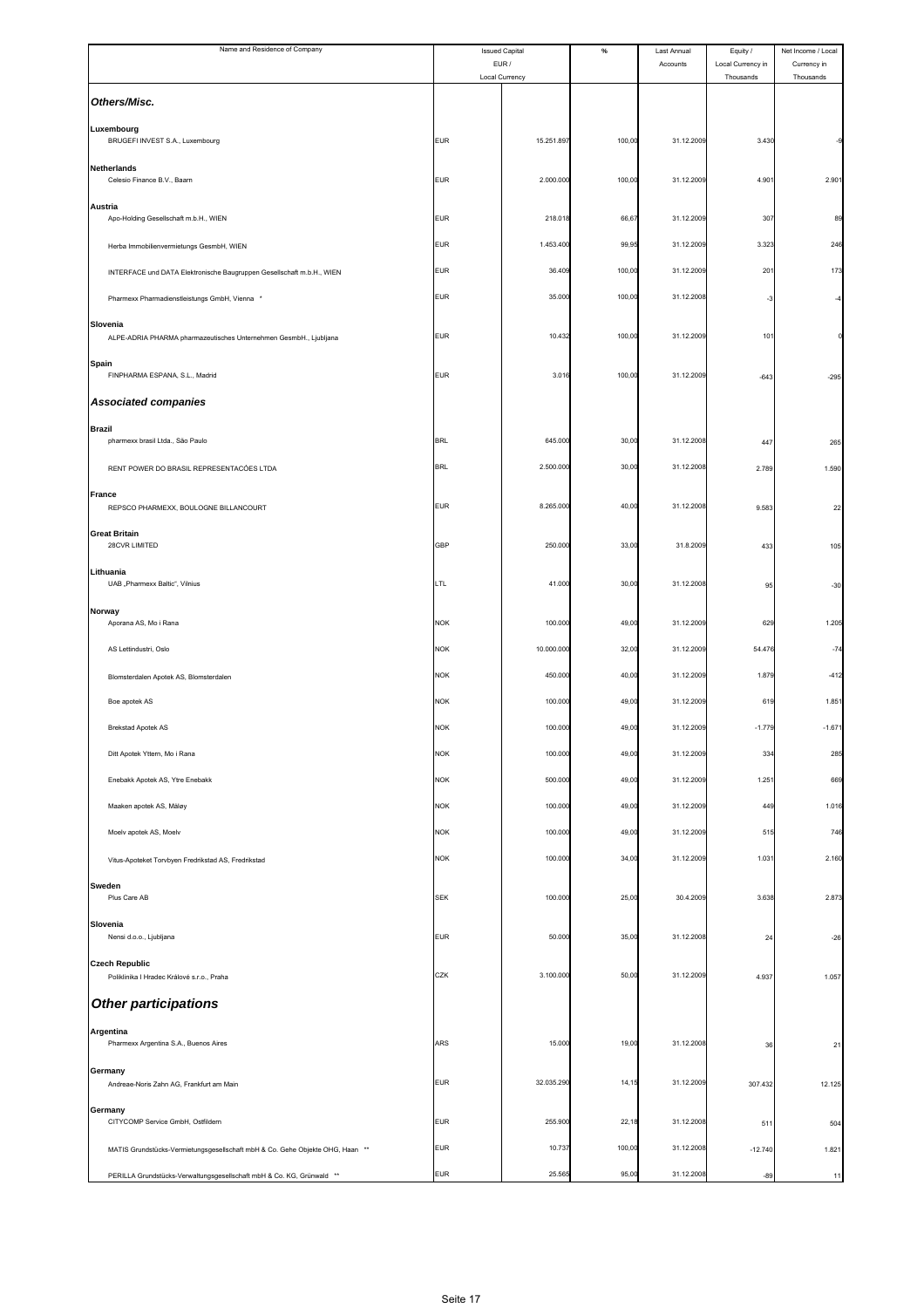| Name and Residence of Company                                                 | <b>Issued Capital</b>   |            | $\%$   | Last Annual | Equity /                       | Net Income / Local       |
|-------------------------------------------------------------------------------|-------------------------|------------|--------|-------------|--------------------------------|--------------------------|
|                                                                               | EUR /<br>Local Currency |            |        | Accounts    | Local Currency in<br>Thousands | Currency in<br>Thousands |
| Others/Misc.                                                                  |                         |            |        |             |                                |                          |
| Luxembourg<br>BRUGEFI INVEST S.A., Luxembourg                                 | <b>EUR</b>              | 15.251.897 | 100,00 | 31.12.2009  | 3.430                          |                          |
| <b>Netherlands</b><br>Celesio Finance B.V., Baarn                             | <b>EUR</b>              | 2.000.000  | 100,00 | 31.12.2009  | 4.90                           | 2.901                    |
| Austria<br>Apo-Holding Gesellschaft m.b.H., WIEN                              | <b>EUR</b>              | 218.018    | 66,67  | 31.12.2009  | 307                            | 89                       |
| Herba Immobilienvermietungs GesmbH, WIEN                                      | <b>EUR</b>              | 1.453.400  | 99,95  | 31.12.2009  | 3.323                          | 246                      |
| INTERFACE und DATA Elektronische Baugruppen Gesellschaft m.b.H., WIEN         | <b>EUR</b>              | 36.409     | 100,00 | 31.12.2009  | 201                            | 173                      |
| Pharmexx Pharmadienstleistungs GmbH, Vienna *                                 | <b>EUR</b>              | 35.000     | 100,00 | 31.12.2008  |                                |                          |
| Slovenia                                                                      |                         |            |        |             |                                |                          |
| ALPE-ADRIA PHARMA pharmazeutisches Unternehmen GesmbH., Ljubljana             | <b>EUR</b>              | 10.432     | 100,00 | 31.12.2009  | 101                            |                          |
| <b>Spain</b><br>FINPHARMA ESPANA, S.L., Madrid                                | <b>EUR</b>              | 3.016      | 100,00 | 31.12.2009  | $-643$                         | $-295$                   |
| <b>Associated companies</b>                                                   |                         |            |        |             |                                |                          |
| <b>Brazil</b><br>pharmexx brasil Ltda., São Paulo                             | <b>BRL</b>              | 645.000    | 30,00  | 31.12.2008  | 447                            | 265                      |
| RENT POWER DO BRASIL REPRESENTACÓES LTDA                                      | <b>BRL</b>              | 2.500.000  | 30,00  | 31.12.2008  | 2.789                          | 1.590                    |
| <b>France</b><br>REPSCO PHARMEXX, BOULOGNE BILLANCOURT                        | <b>EUR</b>              | 8.265.000  | 40,00  | 31.12.2008  | 9.583                          | 22                       |
| <b>Great Britain</b><br>28CVR LIMITED                                         | <b>GBP</b>              | 250.000    | 33,00  | 31.8.2009   | 433                            | 105                      |
| Lithuania<br>UAB "Pharmexx Baltic", Vilnius                                   | LTL                     | 41.000     | 30,00  | 31.12.2008  | 95                             | $-30$                    |
| Norway<br>Aporana AS, Mo i Rana                                               | <b>NOK</b>              | 100.000    | 49,00  | 31.12.2009  | 629                            | 1.205                    |
| AS Lettindustri, Oslo                                                         | <b>NOK</b>              | 10.000.000 | 32,00  | 31.12.2009  | 54.476                         | $-74$                    |
| Blomsterdalen Apotek AS, Blomsterdalen                                        | <b>NOK</b>              | 450.000    | 40,00  | 31.12.2009  | 1.879                          | $-412$                   |
| Boe apotek AS                                                                 | <b>NOK</b>              | 100.000    | 49,00  | 31.12.2009  | 619                            | 1.851                    |
| Brekstad Apotek AS                                                            | <b>NOK</b>              | 100.000    | 49,00  | 31.12.2009  | $-1.779$                       | $-1.671$                 |
| Ditt Apotek Yttern, Mo i Rana                                                 | <b>NOK</b>              | 100.000    | 49,00  | 31.12.2009  | 334                            | 285                      |
| Enebakk Apotek AS, Ytre Enebakk                                               | <b>NOK</b>              | 500.000    | 49,00  | 31.12.2009  | 1.251                          | 669                      |
| Maaken apotek AS, Måløy                                                       | <b>NOK</b>              | 100.000    | 49,00  | 31.12.2009  | 449                            | 1.016                    |
| Moelv apotek AS, Moelv                                                        | <b>NOK</b>              | 100.000    | 49,00  | 31.12.2009  | 515                            | 746                      |
| Vitus-Apoteket Torvbyen Fredrikstad AS, Fredrikstad                           | <b>NOK</b>              | 100.000    | 34,00  | 31.12.2009  | 1.031                          | 2.160                    |
| Sweden<br>Plus Care AB                                                        | <b>SEK</b>              | 100.000    | 25,00  | 30.4.2009   | 3.638                          | 2.873                    |
| Slovenia<br>Nensi d.o.o., Ljubljana                                           | <b>EUR</b>              | 50.000     | 35,00  | 31.12.2008  | 24                             | $-26$                    |
| <b>Czech Republic</b><br>Poliklinika I Hradec Králové s.r.o., Praha           | CZK                     | 3.100.000  | 50,00  | 31.12.2009  | 4.937                          | 1.057                    |
| <b>Other participations</b>                                                   |                         |            |        |             |                                |                          |
| Argentina<br>Pharmexx Argentina S.A., Buenos Aires                            | ARS                     | 15.000     | 19,00  | 31.12.2008  | 36                             | 21                       |
| Germany<br>Andreae-Noris Zahn AG, Frankfurt am Main                           | <b>EUR</b>              | 32.035.290 | 14,15  | 31.12.2009  | 307.432                        | 12.125                   |
| Germany<br>CITYCOMP Service GmbH, Ostfildern                                  | <b>EUR</b>              | 255.900    | 22,18  | 31.12.2008  | 51 <sup>°</sup>                | 504                      |
| MATIS Grundstücks-Vermietungsgesellschaft mbH & Co. Gehe Objekte OHG, Haan ** | <b>EUR</b>              | 10.737     | 100,00 | 31.12.2008  | $-12.740$                      | 1.821                    |
| PERILLA Grundstücks-Verwaltungsgesellschaft mbH & Co. KG, Grünwald **         | <b>EUR</b>              | 25.565     | 95,00  | 31.12.2008  | $-89$                          | 11                       |